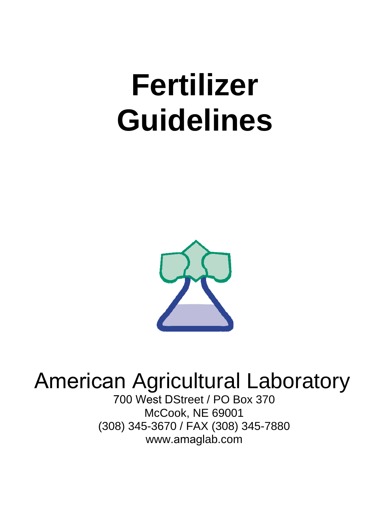# **Fertilizer Guidelines**



# American Agricultural Laboratory

700 West DStreet / PO Box 370 McCook, NE 69001 (308) 345-3670 / FAX (308) 345-7880 www.amaglab.com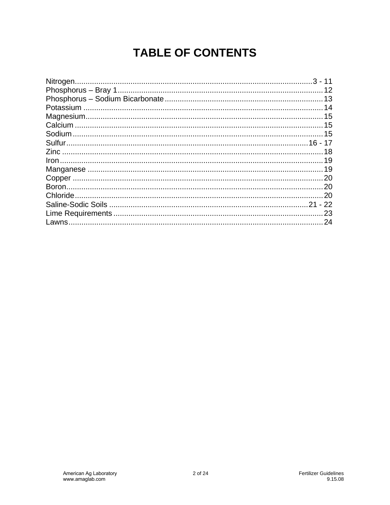# **TABLE OF CONTENTS**

| . 20 |
|------|
|      |
| 23   |
| 24   |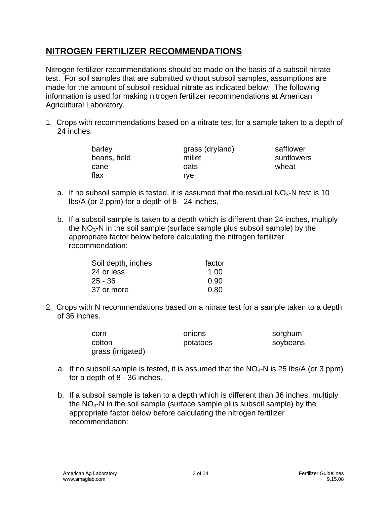Nitrogen fertilizer recommendations should be made on the basis of a subsoil nitrate test. For soil samples that are submitted without subsoil samples, assumptions are made for the amount of subsoil residual nitrate as indicated below. The following information is used for making nitrogen fertilizer recommendations at American Agricultural Laboratory.

1. Crops with recommendations based on a nitrate test for a sample taken to a depth of 24 inches.

| barley<br>beans, field | grass (dryland)<br>millet | safflower<br>sunflowers |
|------------------------|---------------------------|-------------------------|
| cane                   | oats                      | wheat                   |
| flax                   | rve.                      |                         |

- a. If no subsoil sample is tested, it is assumed that the residual  $NO<sub>3</sub>-N$  test is 10 lbs/A (or 2 ppm) for a depth of 8 - 24 inches.
- b. If a subsoil sample is taken to a depth which is different than 24 inches, multiply the  $NO<sub>3</sub>$ -N in the soil sample (surface sample plus subsoil sample) by the appropriate factor below before calculating the nitrogen fertilizer recommendation:

| Soil depth, inches | factor |
|--------------------|--------|
| 24 or less         | 1.00   |
| $25 - 36$          | 0.90   |
| 37 or more         | 0.80   |

2. Crops with N recommendations based on a nitrate test for a sample taken to a depth of 36 inches.

| corn              | onions   | sorghum  |
|-------------------|----------|----------|
| cotton            | potatoes | soybeans |
| grass (irrigated) |          |          |

- a. If no subsoil sample is tested, it is assumed that the  $NO<sub>3</sub>$ -N is 25 lbs/A (or 3 ppm) for a depth of 8 - 36 inches.
- b. If a subsoil sample is taken to a depth which is different than 36 inches, multiply the  $NO<sub>3</sub>$ -N in the soil sample (surface sample plus subsoil sample) by the appropriate factor below before calculating the nitrogen fertilizer recommendation: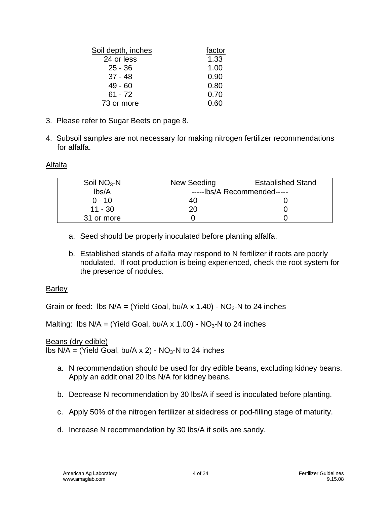| Soil depth, inches | factor |
|--------------------|--------|
| 24 or less         | 1.33   |
| $25 - 36$          | 1.00   |
| $37 - 48$          | 0.90   |
| $49 - 60$          | 0.80   |
| $61 - 72$          | 0.70   |
| 73 or more         | 0.60   |
|                    |        |

- 3. Please refer to Sugar Beets on page 8.
- 4. Subsoil samples are not necessary for making nitrogen fertilizer recommendations for alfalfa.

#### Alfalfa

| Soil $NO3$ -N | New Seeding                 | <b>Established Stand</b> |
|---------------|-----------------------------|--------------------------|
| Ibs/A         | -----lbs/A Recommended----- |                          |
| $0 - 10$      | 40                          |                          |
| $11 - 30$     | 20                          |                          |
| 31 or more    |                             |                          |
|               |                             |                          |

- a. Seed should be properly inoculated before planting alfalfa.
- b. Established stands of alfalfa may respond to N fertilizer if roots are poorly nodulated. If root production is being experienced, check the root system for the presence of nodules.

#### **Barley**

Grain or feed: lbs  $N/A = (Yield Goal, bu/A x 1.40) - NO<sub>3</sub>-N to 24 inches$ 

Malting: lbs  $N/A = (Yield Goal, bu/A x 1.00) - NO<sub>3</sub>-N to 24 inches$ 

Beans (dry edible)

lbs  $N/A =$  (Yield Goal, bu/A x 2) -  $NO<sub>3</sub>$ -N to 24 inches

- a. N recommendation should be used for dry edible beans, excluding kidney beans. Apply an additional 20 lbs N/A for kidney beans.
- b. Decrease N recommendation by 30 lbs/A if seed is inoculated before planting.
- c. Apply 50% of the nitrogen fertilizer at sidedress or pod-filling stage of maturity.
- d. Increase N recommendation by 30 lbs/A if soils are sandy.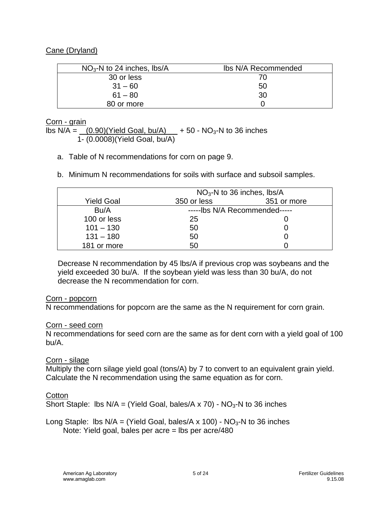#### Cane (Dryland)

| $NO3$ -N to 24 inches, lbs/A | Ibs N/A Recommended |
|------------------------------|---------------------|
| 30 or less                   | 70                  |
| $31 - 60$                    | 50                  |
| $61 - 80$                    | 30                  |
| 80 or more                   |                     |

#### Corn - grain

lbs  $N/A = (0.90)(Yield Goal, bu/A) + 50 - NO<sub>3</sub>-N$  to 36 inches 1- (0.0008)(Yield Goal, bu/A)

- a. Table of N recommendations for corn on page 9.
- b. Minimum N recommendations for soils with surface and subsoil samples.

|                   | $NO3$ -N to 36 inches, lbs/A  |             |
|-------------------|-------------------------------|-------------|
| <b>Yield Goal</b> | 350 or less                   | 351 or more |
| Bu/A              | -----lbs N/A Recommended----- |             |
| 100 or less       | 25                            |             |
| $101 - 130$       | 50                            |             |
| $131 - 180$       | 50                            |             |
| 181 or more       | 50                            |             |

Decrease N recommendation by 45 lbs/A if previous crop was soybeans and the yield exceeded 30 bu/A. If the soybean yield was less than 30 bu/A, do not decrease the N recommendation for corn.

#### Corn - popcorn

N recommendations for popcorn are the same as the N requirement for corn grain.

#### Corn - seed corn

N recommendations for seed corn are the same as for dent corn with a yield goal of 100 bu/A.

#### Corn - silage

Multiply the corn silage yield goal (tons/A) by 7 to convert to an equivalent grain yield. Calculate the N recommendation using the same equation as for corn.

#### **Cotton**

Short Staple: lbs  $N/A = (Yield Goal, bales/A x 70) - NO<sub>3</sub>-N to 36 inches$ 

Long Staple: lbs  $N/A =$  (Yield Goal, bales/A x 100) -  $NO<sub>3</sub>$ -N to 36 inches Note: Yield goal, bales per acre = lbs per acre/480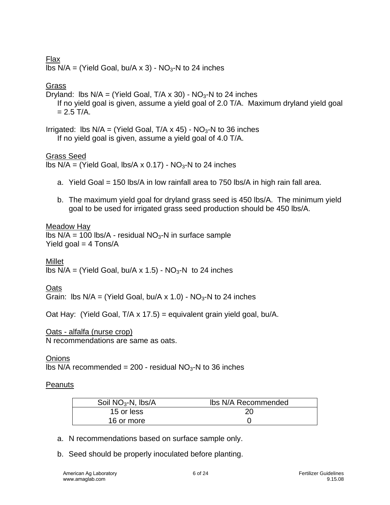#### Flax

lbs  $N/A = (Yield Goal, bu/A × 3) - NO<sub>3</sub>-N to 24 inches$ 

#### Grass

Dryland: lbs  $N/A = (Yield Goal, T/A × 30) - NO<sub>3</sub>-N to 24 inches$ If no yield goal is given, assume a yield goal of 2.0 T/A. Maximum dryland yield goal  $= 2.5$  T/A.

Irrigated: Ibs  $N/A = (Yield Goal, T/A \times 45) - NO<sub>3</sub>-N$  to 36 inches If no yield goal is given, assume a yield goal of 4.0 T/A.

#### Grass Seed

lbs  $N/A = (Yield Goal, lbs/A × 0.17) - NO<sub>3</sub>-N to 24 inches$ 

- a. Yield Goal = 150 lbs/A in low rainfall area to 750 lbs/A in high rain fall area.
- b. The maximum yield goal for dryland grass seed is 450 lbs/A. The minimum yield goal to be used for irrigated grass seed production should be 450 lbs/A.

#### Meadow Hay

lbs  $N/A = 100$  lbs/A - residual  $NO<sub>3</sub>$ -N in surface sample Yield goal  $=$  4 Tons/A

Millet lbs  $N/A =$  (Yield Goal, bu/A x 1.5) -  $NO<sub>3</sub>$ -N to 24 inches

#### Oats

Grain: Ibs  $N/A = (Yield Goal, bu/A \times 1.0) - NO<sub>3</sub>-N$  to 24 inches

Oat Hay: (Yield Goal, T/A x 17.5) = equivalent grain yield goal, bu/A.

#### Oats - alfalfa (nurse crop)

N recommendations are same as oats.

#### **Onions**

lbs N/A recommended =  $200$  - residual NO<sub>3</sub>-N to 36 inches

#### **Peanuts**

| Soil $NO3$ -N, lbs/A | Ibs N/A Recommended |
|----------------------|---------------------|
| 15 or less           |                     |
| 16 or more           |                     |

- a. N recommendations based on surface sample only.
- b. Seed should be properly inoculated before planting.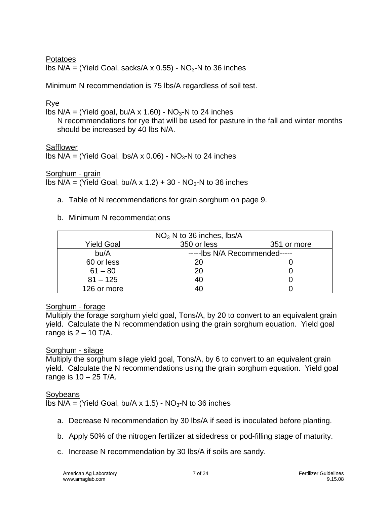#### **Potatoes**

lbs  $N/A =$  (Yield Goal, sacks/A x 0.55) -  $NO<sub>3</sub>$ -N to 36 inches

Minimum N recommendation is 75 lbs/A regardless of soil test.

#### Rye

lbs  $N/A =$  (Yield goal, bu/A x 1.60) -  $NO<sub>3</sub>$ -N to 24 inches

N recommendations for rye that will be used for pasture in the fall and winter months should be increased by 40 lbs N/A.

#### **Safflower**

lbs  $N/A =$  (Yield Goal, lbs/A x 0.06) -  $NO<sub>3</sub>$ -N to 24 inches

Sorghum - grain

lbs  $N/A = (Yield Goal, bu/A × 1.2) + 30 - NO<sub>3</sub>-N to 36 inches$ 

a. Table of N recommendations for grain sorghum on page 9.

#### b. Minimum N recommendations

|                   | $NO3$ -N to 36 inches, lbs/A  |             |
|-------------------|-------------------------------|-------------|
| <b>Yield Goal</b> | 350 or less                   | 351 or more |
| bu/A              | -----lbs N/A Recommended----- |             |
| 60 or less        | 20                            |             |
| $61 - 80$         | 20                            |             |
| $81 - 125$        | 40                            |             |
| 126 or more       | 40                            |             |

#### Sorghum - forage

Multiply the forage sorghum yield goal, Tons/A, by 20 to convert to an equivalent grain yield. Calculate the N recommendation using the grain sorghum equation. Yield goal range is  $2 - 10$  T/A.

#### Sorghum - silage

Multiply the sorghum silage yield goal, Tons/A, by 6 to convert to an equivalent grain yield. Calculate the N recommendations using the grain sorghum equation. Yield goal range is  $10 - 25$  T/A.

#### Soybeans

lbs  $N/A =$  (Yield Goal, bu/A x 1.5) -  $NO<sub>3</sub>$ -N to 36 inches

- a. Decrease N recommendation by 30 lbs/A if seed is inoculated before planting.
- b. Apply 50% of the nitrogen fertilizer at sidedress or pod-filling stage of maturity.
- c. Increase N recommendation by 30 lbs/A if soils are sandy.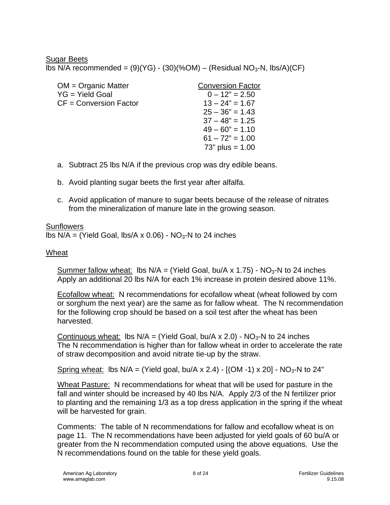#### Sugar Beets

lbs N/A recommended =  $(9)(YG) - (30)(%OM) - (Residual NO<sub>3</sub>-N, lbs/A)(CF)$ 

| <b>Conversion Factor</b> |
|--------------------------|
| $0 - 12" = 2.50$         |
| $13 - 24" = 1.67$        |
| $25 - 36" = 1.43$        |
| $37 - 48" = 1.25$        |
| $49 - 60" = 1.10$        |
| $61 - 72" = 1.00$        |
| $73"$ plus = 1.00        |
|                          |

- a. Subtract 25 lbs N/A if the previous crop was dry edible beans.
- b. Avoid planting sugar beets the first year after alfalfa.
- c. Avoid application of manure to sugar beets because of the release of nitrates from the mineralization of manure late in the growing season.

#### **Sunflowers**

lbs  $N/A =$  (Yield Goal, lbs/A x 0.06) -  $NO<sub>3</sub>$ -N to 24 inches

#### Wheat

Summer fallow wheat: lbs  $N/A = (Yield Goal, bu/A x 1.75) - NO<sub>3</sub>-N to 24 inches$ Apply an additional 20 lbs N/A for each 1% increase in protein desired above 11%.

Ecofallow wheat: N recommendations for ecofallow wheat (wheat followed by corn or sorghum the next year) are the same as for fallow wheat. The N recommendation for the following crop should be based on a soil test after the wheat has been harvested.

Continuous wheat: lbs  $N/A = (Yield Goal, bu/A x 2.0) - NO<sub>3</sub>-N to 24 inches$ The N recommendation is higher than for fallow wheat in order to accelerate the rate of straw decomposition and avoid nitrate tie-up by the straw.

Spring wheat: lbs  $N/A = (Yield goal, bu/A \times 2.4) - [(OM -1) \times 20] - NO<sub>3</sub>-N$  to 24"

Wheat Pasture: N recommendations for wheat that will be used for pasture in the fall and winter should be increased by 40 lbs N/A. Apply 2/3 of the N fertilizer prior to planting and the remaining 1/3 as a top dress application in the spring if the wheat will be harvested for grain.

Comments: The table of N recommendations for fallow and ecofallow wheat is on page 11. The N recommendations have been adjusted for yield goals of 60 bu/A or greater from the N recommendation computed using the above equations. Use the N recommendations found on the table for these yield goals.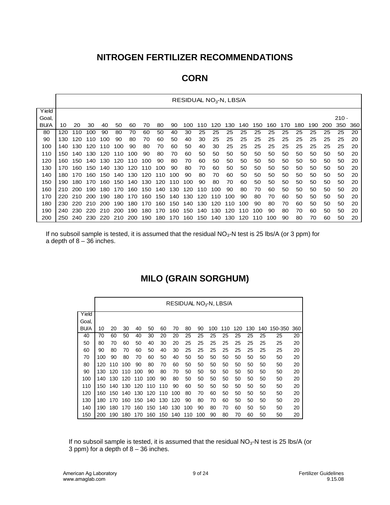| ÷.<br>۰<br>۱ı<br>× |
|--------------------|
|--------------------|

|             |     |     |     |     |     |     |     |     |     | RESIDUAL NO <sub>3</sub> -N, LBS/A |     |     |     |     |     |     |     |     |     |     |         |     |
|-------------|-----|-----|-----|-----|-----|-----|-----|-----|-----|------------------------------------|-----|-----|-----|-----|-----|-----|-----|-----|-----|-----|---------|-----|
| Yield       |     |     |     |     |     |     |     |     |     |                                    |     |     |     |     |     |     |     |     |     |     |         |     |
| Goal,       |     |     |     |     |     |     |     |     |     |                                    |     |     |     |     |     |     |     |     |     |     | $210 -$ |     |
| <b>BU/A</b> | 10  | 20  | 30  | 40  | 50  | 60  | 70  | 80  | 90  | 100                                | 110 | 120 | 130 | 140 | 150 | 160 | 170 | 180 | 190 | 200 | 350     | 360 |
| 80          | 120 | 110 | 100 | 90  | 80  | 70  | 60  | 50  | 40  | 30                                 | 25  | 25  | 25  | 25  | 25  | 25  | 25  | 25  | 25  | 25  | 25      | 20  |
| 90          | 130 | 120 | 110 | 100 | 90  | 80  | 70  | 60  | 50  | 40                                 | 30  | 25  | 25  | 25  | 25  | 25  | 25  | 25  | 25  | 25  | 25      | 20  |
| 100         | 140 | 130 | 120 | 110 | 100 | 90  | 80  | 70  | 60  | 50                                 | 40  | 30  | 25  | 25  | 25  | 25  | 25  | 25  | 25  | 25  | 25      | 20  |
| 110         | 150 | 140 | 130 | 120 | 110 | 100 | 90  | 80  | 70  | 60                                 | 50  | 50  | 50  | 50  | 50  | 50  | 50  | 50  | 50  | 50  | 50      | 20  |
| 120         | 160 | 150 | 140 | 130 | 120 | 110 | 100 | 90  | 80  | 70                                 | 60  | 50  | 50  | 50  | 50  | 50  | 50  | 50  | 50  | 50  | 50      | 20  |
| 130         | 170 | 160 | 150 | 140 | 130 | 120 | 110 | 100 | 90  | 80                                 | 70  | 60  | 50  | 50  | 50  | 50  | 50  | 50  | 50  | 50  | 50      | 20  |
| 140         | 180 | 170 | 160 | 150 | 140 | 130 | 120 | 110 | 100 | 90                                 | 80  | 70  | 60  | 50  | 50  | 50  | 50  | 50  | 50  | 50  | 50      | 20  |
| 150         | 190 | 180 | 170 | 160 | 150 | 140 | 130 | 120 | 110 | 100                                | 90  | 80  | 70  | 60  | 50  | 50  | 50  | 50  | 50  | 50  | 50      | 20  |
| 160         | 210 | 200 | 190 | 180 | 170 | 160 | 150 | 140 | 130 | 120                                | 110 | 100 | 90  | 80  | 70  | 60  | 50  | 50  | 50  | 50  | 50      | 20  |
| 170         | 220 | 210 | 200 | 190 | 180 | 170 | 160 | 150 | 140 | 130                                | 120 | 110 | 100 | 90  | 80  | 70  | 60  | 50  | 50  | 50  | 50      | 20  |
| 180         | 230 | 220 | 210 | 200 | 190 | 180 | 170 | 160 | 150 | 140                                | 130 | 120 | 110 | 100 | 90  | 80  | 70  | 60  | 50  | 50  | 50      | 20  |
| 190         | 240 | 230 | 220 | 210 | 200 | 190 | 180 | 170 | 160 | 150                                | 140 | 130 | 120 | 10  | 100 | 90  | 80  | 70  | 60  | 50  | 50      | 20  |
| 200         | 250 | 240 | 230 | 220 | 210 | 200 | 190 | 180 | 170 | 160                                | 150 | 140 | 130 | 120 | 110 | 100 | 90  | 80  | 70  | 60  | 50      | 20  |

If no subsoil sample is tested, it is assumed that the residual  $NO<sub>3</sub>-N$  test is 25 lbs/A (or 3 ppm) for a depth of  $8 - 36$  inches.

# **MILO (GRAIN SORGHUM)**

|       | RESIDUAL NO <sub>3</sub> -N, LBS/A |     |     |     |     |     |     |     |     |     |     |     |     |     |         |     |
|-------|------------------------------------|-----|-----|-----|-----|-----|-----|-----|-----|-----|-----|-----|-----|-----|---------|-----|
| Yield |                                    |     |     |     |     |     |     |     |     |     |     |     |     |     |         |     |
| Goal, |                                    |     |     |     |     |     |     |     |     |     |     |     |     |     |         |     |
| BU/A  | 10                                 | 20  | 30  | 40  | 50  | 60  | 70  | 80  | 90  | 100 | 110 | 120 | 130 | 140 | 150-350 | 360 |
| 40    | 70                                 | 60  | 50  | 40  | 30  | 20  | 20  | 25  | 25  | 25  | 25  | 25  | 25  | 25  | 25      | 20  |
| 50    | 80                                 | 70  | 60  | 50  | 40  | 30  | 20  | 25  | 25  | 25  | 25  | 25  | 25  | 25  | 25      | 20  |
| 60    | 90                                 | 80  | 70  | 60  | 50  | 40  | 30  | 25  | 25  | 25  | 25  | 25  | 25  | 25  | 25      | 20  |
| 70    | 100                                | 90  | 80  | 70  | 60  | 50  | 40  | 50  | 50  | 50  | 50  | 50  | 50  | 50  | 50      | 20  |
| 80    | 120                                | 110 | 100 | 90  | 80  | 70  | 60  | 50  | 50  | 50  | 50  | 50  | 50  | 50  | 50      | 20  |
| 90    | 130                                | 120 | 110 | 100 | 90  | 80  | 70  | 50  | 50  | 50  | 50  | 50  | 50  | 50  | 50      | 20  |
| 100   | 140                                | 130 | 120 | 110 | 100 | 90  | 80  | 50  | 50  | 50  | 50  | 50  | 50  | 50  | 50      | 20  |
| 110   | 150                                | 140 | 130 | 120 | 110 | 110 | 90  | 60  | 50  | 50  | 50  | 50  | 50  | 50  | 50      | 20  |
| 120   | 160                                | 150 | 140 | 130 | 120 | 110 | 100 | 80  | 70  | 60  | 50  | 50  | 50  | 50  | 50      | 20  |
| 130   | 180                                | 170 | 160 | 150 | 140 | 130 | 120 | 90  | 80  | 70  | 60  | 50  | 50  | 50  | 50      | 20  |
| 140   | 190                                | 180 | 170 | 160 | 150 | 140 | 130 | 100 | 90  | 80  | 70  | 60  | 50  | 50  | 50      | 20  |
| 150   | 200                                | 190 | 180 | 170 | 160 | 150 | 140 | 110 | 100 | 90  | 80  | 70  | 60  | 50  | 50      | 20  |

If no subsoil sample is tested, it is assumed that the residual  $NO<sub>3</sub>$ -N test is 25 lbs/A (or 3 ppm) for a depth of  $8 - 36$  inches.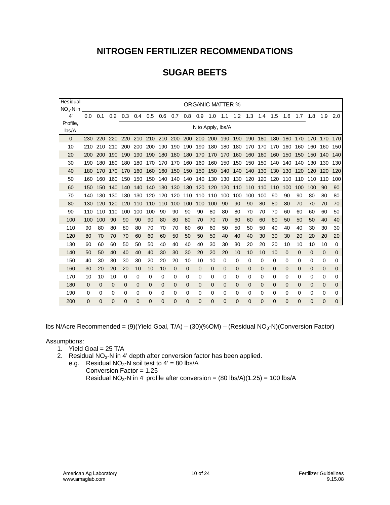# **SUGAR BEETS**

| Residual          | ORGANIC MATTER % |          |             |                                                                         |     |     |             |             |             |                   |         |                 |          |          |          |          |              |              |              |              |     |
|-------------------|------------------|----------|-------------|-------------------------------------------------------------------------|-----|-----|-------------|-------------|-------------|-------------------|---------|-----------------|----------|----------|----------|----------|--------------|--------------|--------------|--------------|-----|
| $NO2 - N$ in      |                  |          |             |                                                                         |     |     |             |             |             |                   |         |                 |          |          |          |          |              |              |              |              |     |
| 4'                | 0.0              | 0.1      | 0.2         | 0.3                                                                     | 0.4 | 0.5 | 0.6         | 0.7         | 0.8         | $0.9$ 1.0         |         | 1.1             | 1.2      | 1.3      | 1.4      | 1.5      | 1.6          | 1.7          | 1.8          | 1.9          | 2.0 |
| Profile,<br>lbs/A |                  |          |             |                                                                         |     |     |             |             |             | N to Apply, lbs/A |         |                 |          |          |          |          |              |              |              |              |     |
|                   |                  |          |             |                                                                         |     |     |             |             |             |                   |         |                 |          |          |          |          |              |              |              |              |     |
| $\Omega$          | 230              | 220      |             | 220 220 210 210 210 200 200 200 200 190 190 190 180 180 180 170 170 170 |     |     |             |             |             |                   |         |                 |          |          |          |          |              |              |              |              | 170 |
| 10                | 210              | 210      | 210         | 200                                                                     | 200 | 200 | 190         | 190         | 190         | 190               | 180 180 |                 | 180 170  |          | 170      | 170      | 160          | 160          | 160          | 160          | 150 |
| 20                | 200              | 200      | 190         | 190                                                                     | 190 | 190 | 180         | 180         | 180 170     |                   | 170     | 170             |          | 160 160  | 160 160  |          | 150          | 150          | 150          | 140          | 140 |
| 30                | 190              | 180      | 180         | 180                                                                     | 180 | 170 | 170         | 170         | 160         | 160               | 160 150 |                 | 150 150  |          | 150 140  |          | 140          | 140          | 130          | 130          | 130 |
| 40                | 180              | 170      | 170         | 170                                                                     | 160 | 160 | 160         | 150         | 150         | 150               | 150     | 140             | 140 140  |          | 130      | 130      | 130          | 120          | 120          | 120          | 120 |
| 50                | 160              | 160      | 160         | 150                                                                     | 150 | 150 | 140 140     |             | 140         | 140               |         | 130 130 130 120 |          |          | 120 120  |          | 110          | 110          | 110          | 110          | 100 |
| 60                | 150              | 150      | 140         | 140                                                                     | 140 | 140 | 130         | 130         | 130         | 120               | 120     | 120             | 110      | 110      | 110      | 110      | 100          | 100          | 100          | 90           | 90  |
| 70                | 140              | 130      | 130         | 130                                                                     | 130 | 120 | 120         | 120         | 110         | 110               | 110     | 100             | 100      | 100      | 100      | 90       | 90           | 90           | 80           | 80           | 80  |
| 80                | 130              | 120      | 120         | 120                                                                     | 110 | 110 | 110         | 100         | 100         | 100               | 100     | 90              | 90       | 90       | 80       | 80       | 80           | 70           | 70           | 70           | 70  |
| 90                | 110              | 110      | 110         | 100                                                                     | 100 | 100 | 90          | 90          | 90          | 90                | 80      | 80              | 80       | 70       | 70       | 70       | 60           | 60           | 60           | 60           | 50  |
| 100               | 100              | 100      | 90          | 90                                                                      | 90  | 90  | 80          | 80          | 80          | 70                | 70      | 70              | 60       | 60       | 60       | 60       | 50           | 50           | 50           | 40           | 40  |
| 110               | 90               | 80       | 80          | 80                                                                      | 80  | 70  | 70          | 70          | 60          | 60                | 60      | 50              | 50       | 50       | 50       | 40       | 40           | 40           | 30           | 30           | 30  |
| 120               | 80               | 70       | 70          | 70                                                                      | 60  | 60  | 60          | 50          | 50          | 50                | 50      | 40              | 40       | 40       | 30       | 30       | 30           | 20           | 20           | 20           | 20  |
| 130               | 60               | 60       | 60          | 50                                                                      | 50  | 50  | 40          | 40          | 40          | 40                | 30      | 30              | 30       | 20       | 20       | 20       | 10           | 10           | 10           | 10           | 0   |
| 140               | 50               | 50       | 40          | 40                                                                      | 40  | 40  | 30          | 30          | 30          | 20                | 20      | 20              | 10       | 10       | 10       | 10       | $\mathbf{0}$ | $\mathbf{0}$ | $\mathbf 0$  | $\mathbf{0}$ | 0   |
| 150               | 40               | 30       | 30          | 30                                                                      | 30  | 20  | 20          | 20          | 10          | 10                | 10      | 0               | 0        | 0        | 0        | 0        | 0            | 0            | 0            | 0            | 0   |
| 160               | 30               | 20       | 20          | 20                                                                      | 10  | 10  | 10          | $\mathbf 0$ | $\mathbf 0$ | 0                 | 0       | 0               | 0        | 0        | 0        | 0        | $\mathbf{0}$ | 0            | $\mathbf{0}$ | $\mathbf{0}$ | 0   |
| 170               | 10               | 10       | 10          | 0                                                                       | 0   | 0   | 0           | 0           | 0           | 0                 | 0       | 0               | 0        | 0        | 0        | 0        | 0            | 0            | 0            | 0            | 0   |
| 180               | 0                | 0        | $\mathbf 0$ | 0                                                                       | 0   | 0   | $\mathbf 0$ | $\Omega$    | $\mathbf 0$ | 0                 | 0       | 0               | $\Omega$ | $\Omega$ | $\Omega$ | $\Omega$ | $\mathbf{0}$ | 0            | 0            | $\mathbf{0}$ | 0   |
| 190               | 0                | 0        | 0           | 0                                                                       | 0   | 0   | 0           | 0           | 0           | 0                 | 0       | 0               | 0        | 0        | 0        | 0        | 0            | 0            | 0            | 0            | 0   |
| 200               | $\Omega$         | $\Omega$ | 0           | 0                                                                       | 0   | 0   | $\Omega$    | 0           | 0           | 0                 | 0       | 0               | $\Omega$ | 0        | $\Omega$ | 0        | 0            | 0            | $\mathbf 0$  | 0            | 0   |

lbs N/Acre Recommended =  $(9)(Yield Goal, T/A) - (30)(%OM) - (Residual NO<sub>3</sub>-N)(Conversion Factor)$ 

Assumptions:

- 1. Yield Goal =  $25$  T/A
- 2. Residual  $NO<sub>3</sub>-N$  in 4' depth after conversion factor has been applied.
	- e.g. Residual  $NO<sub>3</sub>$ -N soil test to 4' = 80 lbs/A
		- Conversion Factor = 1.25 Residual NO<sub>3</sub>-N in 4' profile after conversion =  $(80 \text{ lbs/A})(1.25) = 100 \text{ lbs/A}$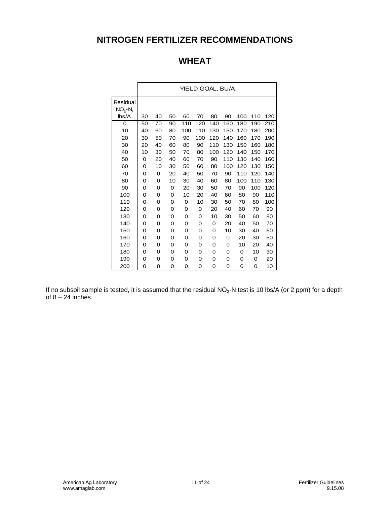# **WHEAT**

|                        | YIELD GOAL, BU/A |    |    |     |     |     |     |     |     |     |  |  |  |
|------------------------|------------------|----|----|-----|-----|-----|-----|-----|-----|-----|--|--|--|
| Residual<br>$NO3 - N,$ |                  |    |    |     |     |     |     |     |     |     |  |  |  |
| lbs/A                  | 30               | 40 | 50 | 60  | 70  | 80  | 90  | 100 | 110 | 120 |  |  |  |
| 0                      | 50               | 70 | 90 | 110 | 120 | 140 | 160 | 180 | 190 | 210 |  |  |  |
| 10                     | 40               | 60 | 80 | 100 | 110 | 130 | 150 | 170 | 180 | 200 |  |  |  |
| 20                     | 30               | 50 | 70 | 90  | 100 | 120 | 140 | 160 | 170 | 190 |  |  |  |
| 30                     | 20               | 40 | 60 | 80  | 90  | 110 | 130 | 150 | 160 | 180 |  |  |  |
| 40                     | 10               | 30 | 50 | 70  | 80  | 100 | 120 | 140 | 150 | 170 |  |  |  |
| 50                     | 0                | 20 | 40 | 60  | 70  | 90  | 110 | 130 | 140 | 160 |  |  |  |
| 60                     | 0                | 10 | 30 | 50  | 60  | 80  | 100 | 120 | 130 | 150 |  |  |  |
| 70                     | 0                | 0  | 20 | 40  | 50  | 70  | 90  | 110 | 120 | 140 |  |  |  |
| 80                     | 0                | 0  | 10 | 30  | 40  | 60  | 80  | 100 | 110 | 130 |  |  |  |
| 90                     | 0                | 0  | 0  | 20  | 30  | 50  | 70  | 90  | 100 | 120 |  |  |  |
| 100                    | 0                | 0  | 0  | 10  | 20  | 40  | 60  | 80  | 90  | 110 |  |  |  |
| 110                    | 0                | 0  | 0  | 0   | 10  | 30  | 50  | 70  | 80  | 100 |  |  |  |
| 120                    | 0                | 0  | 0  | 0   | 0   | 20  | 40  | 60  | 70  | 90  |  |  |  |
| 130                    | 0                | 0  | 0  | 0   | 0   | 10  | 30  | 50  | 60  | 80  |  |  |  |
| 140                    | 0                | 0  | 0  | 0   | 0   | 0   | 20  | 40  | 50  | 70  |  |  |  |
| 150                    | 0                | 0  | 0  | 0   | 0   | 0   | 10  | 30  | 40  | 60  |  |  |  |
| 160                    | 0                | 0  | 0  | 0   | 0   | 0   | 0   | 20  | 30  | 50  |  |  |  |
| 170                    | 0                | 0  | 0  | 0   | 0   | 0   | 0   | 10  | 20  | 40  |  |  |  |
| 180                    | 0                | 0  | 0  | 0   | 0   | 0   | 0   | 0   | 10  | 30  |  |  |  |
| 190                    | 0                | 0  | 0  | 0   | 0   | 0   | 0   | 0   | 0   | 20  |  |  |  |
| 200                    | 0                | 0  | 0  | 0   | 0   | 0   | 0   | 0   | 0   | 10  |  |  |  |

If no subsoil sample is tested, it is assumed that the residual NO<sub>3</sub>-N test is 10 lbs/A (or 2 ppm) for a depth of  $8 - 24$  inches.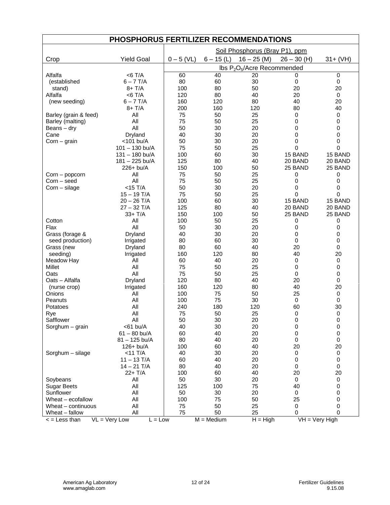| PHOSPHORUS FERTILIZER RECOMMENDATIONS |                              |              |                         |                                                     |                  |             |  |  |  |  |  |
|---------------------------------------|------------------------------|--------------|-------------------------|-----------------------------------------------------|------------------|-------------|--|--|--|--|--|
|                                       |                              |              |                         | Soil Phosphorus (Bray P1), ppm                      |                  |             |  |  |  |  |  |
| Crop                                  | <b>Yield Goal</b>            | $0 - 5$ (VL) | $6 - 15$ (L)            | $16 - 25$ (M)                                       | $26 - 30$ (H)    | $31 + (VH)$ |  |  |  |  |  |
|                                       |                              |              |                         | Ibs P <sub>2</sub> O <sub>5</sub> /Acre Recommended |                  |             |  |  |  |  |  |
| Alfalfa                               | $<$ 6 T/A                    | 60           | 40                      | 20                                                  | 0                | $\mathbf 0$ |  |  |  |  |  |
| (established                          | $6 - 7$ T/A                  | 80           | 60                      | 30                                                  | 0                | $\mathbf 0$ |  |  |  |  |  |
| stand)                                | $8+T/A$                      | 100          | 80                      | 50                                                  | 20               | 20          |  |  |  |  |  |
| Alfalfa                               | $<$ 6 T/A                    | 120          | 80                      | 40                                                  | 20               | $\mathbf 0$ |  |  |  |  |  |
| (new seeding)                         | $6 - 7$ T/A                  | 160          | 120                     | 80                                                  | 40               | 20          |  |  |  |  |  |
|                                       | $8+T/A$                      | 200          | 160                     | 120                                                 | 80               | 40          |  |  |  |  |  |
| Barley (grain & feed)                 | All                          | 75           | 50                      | 25                                                  | 0                | 0           |  |  |  |  |  |
| Barley (malting)                      | All                          | 75           | 50                      | 25                                                  | 0                | 0           |  |  |  |  |  |
| Beans $-$ dry                         | All                          | 50           | 30                      | 20                                                  | 0                | 0           |  |  |  |  |  |
| Cane                                  | Dryland                      | 40           | 30                      | 20                                                  | 0                | 0           |  |  |  |  |  |
| $Corn - grain$                        | <101 bu/A                    | 50           | 30                      | 20                                                  | 0                | 0           |  |  |  |  |  |
|                                       | $101 - 130$ bu/A             | 75           | 50                      | 25                                                  | 0                | 0           |  |  |  |  |  |
|                                       | $131 - 180$ bu/A             | 100          | 60                      | 30                                                  | 15 BAND          | 15 BAND     |  |  |  |  |  |
|                                       | 181 - 225 bu/A               | 125          | 80                      | 40                                                  | 20 BAND          | 20 BAND     |  |  |  |  |  |
|                                       | 226+ bu/A                    | 150          | 100                     | 50                                                  | 25 BAND          | 25 BAND     |  |  |  |  |  |
| Corn – popcorn                        | All                          | 75           | 50                      | 25                                                  | 0                | 0           |  |  |  |  |  |
| Corn – seed                           | All                          | 75           | 50                      | 25                                                  | 0                | $\Omega$    |  |  |  |  |  |
| $Corn$ – silage                       | $<$ 15 T/A                   | 50           | 30                      | 20                                                  | 0                | 0           |  |  |  |  |  |
|                                       | $15 - 19$ T/A                | 75           | 50                      | 25                                                  | 0                | 0           |  |  |  |  |  |
|                                       | $20 - 26$ T/A                | 100          | 60                      | 30                                                  | 15 BAND          | 15 BAND     |  |  |  |  |  |
|                                       | $27 - 32$ T/A                | 125          | 80                      | 40                                                  | 20 BAND          | 20 BAND     |  |  |  |  |  |
|                                       | 33+ T/A                      | 150          | 100                     | 50                                                  | 25 BAND          | 25 BAND     |  |  |  |  |  |
| Cotton                                | All                          | 100          | 50                      | 25                                                  | 0                | 0           |  |  |  |  |  |
| Flax                                  | All                          | 50           | 30                      | 20                                                  | 0                | 0           |  |  |  |  |  |
| Grass (forage &                       | Dryland                      | 40           | 30                      | 20                                                  | 0                | 0           |  |  |  |  |  |
| seed production)                      | Irrigated                    | 80           | 60                      | 30                                                  | 0                | 0           |  |  |  |  |  |
| Grass (new                            | Dryland                      | 80           | 60                      | 40                                                  | 20               | 0           |  |  |  |  |  |
| seeding)                              | Irrigated                    | 160          | 120                     | 80                                                  | 40               | 20          |  |  |  |  |  |
| Meadow Hay                            | All                          | 60           | 40                      | 20                                                  | $\mathbf 0$      | 0           |  |  |  |  |  |
| Millet                                | All                          | 75           | 50                      | 25                                                  | 0                | 0           |  |  |  |  |  |
| Oats                                  | All                          | 75           | 50                      | 25                                                  | 0                | 0           |  |  |  |  |  |
| Oats - Alfalfa                        | Dryland                      | 120          | 80                      | 40                                                  | 20               | $\mathbf 0$ |  |  |  |  |  |
| (nurse crop)                          | Irrigated                    | 160          | 120                     | 80                                                  | 40               | 20          |  |  |  |  |  |
| Onions                                | All                          | 100          | 75                      | 50                                                  | 25               | 0           |  |  |  |  |  |
| Peanuts                               | All                          | 100          | 75                      | 30                                                  | $\mathbf 0$      | $\mathbf 0$ |  |  |  |  |  |
| Potatoes                              | All                          | 240          | 180                     | 120                                                 | 60               | 30          |  |  |  |  |  |
| Rye                                   | All                          | 75           | 50                      | 25                                                  | 0                | 0           |  |  |  |  |  |
| Safflower                             | All                          | 50           | 30                      | 20                                                  | 0                | 0           |  |  |  |  |  |
| Sorghum – grain                       | $<$ 61 bu/A                  | 40           | 30                      | 20                                                  | 0                | 0           |  |  |  |  |  |
|                                       | $61 - 80$ bu/A               | 60           | 40                      | 20                                                  | 0                | $\pmb{0}$   |  |  |  |  |  |
|                                       | $81 - 125$ bu/A              | 80           | 40                      | 20                                                  | 0                | 0           |  |  |  |  |  |
|                                       | 126+ bu/A                    | 100          | 60                      | 40                                                  | 20               | 20          |  |  |  |  |  |
| Sorghum - silage                      | $<$ 11 T/A                   | 40           | 30                      | 20                                                  | 0                | 0           |  |  |  |  |  |
|                                       | $11 - 13$ T/A                | 60           | 40                      | 20                                                  | 0                | 0           |  |  |  |  |  |
|                                       | $14 - 21$ T/A                | 80           | 40                      | 20                                                  | 0                | 0           |  |  |  |  |  |
|                                       | 22+ T/A                      | 100          | 60                      | 40                                                  | 20               | 20          |  |  |  |  |  |
| Soybeans                              | All                          | 50           | 30                      | 20                                                  | $\mathbf 0$      | 0           |  |  |  |  |  |
| <b>Sugar Beets</b>                    | All                          | 125          | 100                     | 75                                                  | 40               | 0           |  |  |  |  |  |
| Sunflower                             | All                          | 50           | 30                      | 20                                                  | 0                | 0           |  |  |  |  |  |
| Wheat - ecofallow                     | All                          | 100          | 75                      | 50                                                  | 25               | 0           |  |  |  |  |  |
| Wheat - continuous                    | All                          | 75           | 50                      | 25                                                  | 0                | 0           |  |  |  |  |  |
| Wheat - fallow                        | All                          | 75           | 50                      | 25                                                  | 0                | 0           |  |  |  |  |  |
| $\leq$ = Less than                    | $VL = Very Low$<br>$L = Low$ |              | $\overline{M}$ = Medium | $H = High$                                          | $VH = Very High$ |             |  |  |  |  |  |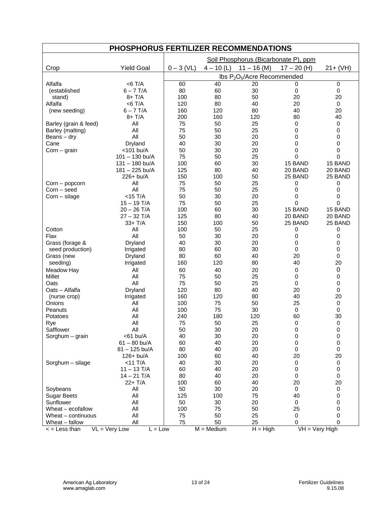| PHOSPHORUS FERTILIZER RECOMMENDATIONS |                                      |              |              |                                      |                    |                    |  |  |  |  |  |
|---------------------------------------|--------------------------------------|--------------|--------------|--------------------------------------|--------------------|--------------------|--|--|--|--|--|
|                                       |                                      |              |              | Soil Phosphorus (Bicarbonate P), ppm |                    |                    |  |  |  |  |  |
| Crop                                  | <b>Yield Goal</b>                    | $0 - 3$ (VL) | $4 - 10$ (L) | $11 - 16$ (M)                        | $17 - 20$ (H)      | $21 + (VH)$        |  |  |  |  |  |
|                                       |                                      |              |              | Ibs $P_2O_5/A$ cre Recommended       |                    |                    |  |  |  |  |  |
| Alfalfa                               | $<$ 6 T/A                            | 60           | 40           | 20                                   | 0                  | 0                  |  |  |  |  |  |
| (established                          | $6 - 7$ T/A                          | 80           | 60           | 30                                   | $\mathbf 0$        | 0                  |  |  |  |  |  |
| stand)                                | $8+T/A$                              | 100          | 80           | 50                                   | 20                 | 20                 |  |  |  |  |  |
| Alfalfa                               | $<$ 6 T/A                            | 120          | 80           | 40                                   | 20                 | $\pmb{0}$          |  |  |  |  |  |
| (new seeding)                         | $6 - 7$ T/A                          | 160          | 120          | 80                                   | 40                 | 20                 |  |  |  |  |  |
|                                       | $8+T/A$                              | 200          | 160          | 120                                  | 80                 | 40                 |  |  |  |  |  |
| Barley (grain & feed)                 | All                                  | 75           | 50           | 25                                   | $\mathbf 0$        | 0                  |  |  |  |  |  |
| Barley (malting)                      | All                                  | 75           | 50           | 25                                   | 0                  | 0                  |  |  |  |  |  |
| Beans $-$ dry                         | All                                  | 50           | 30           | 20                                   | 0                  | 0                  |  |  |  |  |  |
| Cane                                  | Dryland                              | 40           | 30           | 20                                   | 0                  | 0                  |  |  |  |  |  |
| $Corn - grain$                        | <101 bu/A                            | 50           | 30           | 20                                   | 0                  | $\pmb{0}$          |  |  |  |  |  |
|                                       | $101 - 130$ bu/A<br>$131 - 180$ bu/A | 75<br>100    | 50           | 25                                   | 0<br>15 BAND       | 0<br>15 BAND       |  |  |  |  |  |
|                                       |                                      | 125          | 60           | 30                                   |                    |                    |  |  |  |  |  |
|                                       | 181 - 225 bu/A<br>226+ bu/A          | 150          | 80<br>100    | 40<br>50                             | 20 BAND<br>25 BAND | 20 BAND<br>25 BAND |  |  |  |  |  |
| Corn - popcorn                        | All                                  | 75           | 50           | 25                                   | 0                  | 0                  |  |  |  |  |  |
| Corn - seed                           | All                                  | 75           | 50           | 25                                   | 0                  | 0                  |  |  |  |  |  |
| $Corn$ – silage                       | $<$ 15 T/A                           | 50           | 30           | 20                                   | 0                  | 0                  |  |  |  |  |  |
|                                       | $15 - 19$ T/A                        | 75           | 50           | 25                                   | $\mathbf 0$        | 0                  |  |  |  |  |  |
|                                       | $20 - 26$ T/A                        | 100          | 60           | 30                                   | 15 BAND            | 15 BAND            |  |  |  |  |  |
|                                       | $27 - 32$ T/A                        | 125          | 80           | 40                                   | 20 BAND            | 20 BAND            |  |  |  |  |  |
|                                       | 33+ T/A                              | 150          | 100          | 50                                   | 25 BAND            | 25 BAND            |  |  |  |  |  |
| Cotton                                | All                                  | 100          | 50           | 25                                   | 0                  | 0                  |  |  |  |  |  |
| Flax                                  | All                                  | 50           | 30           | 20                                   | 0                  | 0                  |  |  |  |  |  |
| Grass (forage &                       | Dryland                              | 40           | 30           | 20                                   | 0                  | 0                  |  |  |  |  |  |
| seed production)                      | Irrigated                            | 80           | 60           | 30                                   | 0                  | 0                  |  |  |  |  |  |
| Grass (new                            | Dryland                              | 80           | 60           | 40                                   | 20                 | 0                  |  |  |  |  |  |
| seeding)                              | Irrigated                            | 160          | 120          | 80                                   | 40                 | 20                 |  |  |  |  |  |
| Meadow Hay                            | All                                  | 60           | 40           | 20                                   | 0                  | $\mathbf 0$        |  |  |  |  |  |
| Millet                                | All                                  | 75           | 50           | 25                                   | 0                  | 0                  |  |  |  |  |  |
| Oats                                  | All                                  | 75           | 50           | 25                                   | 0                  | 0                  |  |  |  |  |  |
| Oats - Alfalfa                        | Dryland                              | 120          | 80           | 40                                   | 20                 | 0                  |  |  |  |  |  |
| (nurse crop)                          | Irrigated                            | 160          | 120          | 80                                   | 40                 | 20                 |  |  |  |  |  |
| Onions                                | All                                  | 100          | 75           | 50                                   | 25                 | $\mathbf 0$        |  |  |  |  |  |
| Peanuts                               | All                                  | 100          | 75           | 30                                   | 0                  | 0                  |  |  |  |  |  |
| Potatoes                              | All                                  | 240          | 180          | 120                                  | 60                 | 30                 |  |  |  |  |  |
| Rye                                   | All                                  | 75           | 50           | 25                                   | 0                  | 0                  |  |  |  |  |  |
| Safflower                             | All                                  | 50           | 30           | 20                                   | $\mathbf 0$        | $\mathbf 0$        |  |  |  |  |  |
| Sorghum - grain                       | $<$ 61 bu/A                          | 40           | 30           | 20                                   | 0                  | 0                  |  |  |  |  |  |
|                                       | $61 - 80$ bu/A                       | 60<br>80     | 40<br>40     | 20<br>20                             | 0<br>0             | 0<br>0             |  |  |  |  |  |
|                                       | 81 - 125 bu/A<br>126+ bu/A           | 100          | 60           | 40                                   | 20                 | 20                 |  |  |  |  |  |
| Sorghum - silage                      | $<$ 11 T/A                           | 40           | 30           | 20                                   | 0                  | 0                  |  |  |  |  |  |
|                                       | $11 - 13$ T/A                        | 60           | 40           | 20                                   | 0                  | 0                  |  |  |  |  |  |
|                                       | $14 - 21$ T/A                        | 80           | 40           | 20                                   | 0                  | $\mathbf 0$        |  |  |  |  |  |
|                                       | 22+ T/A                              | 100          | 60           | 40                                   | 20                 | 20                 |  |  |  |  |  |
| Soybeans                              | All                                  | 50           | 30           | 20                                   | 0                  | 0                  |  |  |  |  |  |
| <b>Sugar Beets</b>                    | All                                  | 125          | 100          | 75                                   | 40                 | 0                  |  |  |  |  |  |
| Sunflower                             | All                                  | 50           | 30           | 20                                   | 0                  | 0                  |  |  |  |  |  |
| Wheat $-$ ecofallow                   | All                                  | 100          | 75           | 50                                   | 25                 | 0                  |  |  |  |  |  |
| Wheat - continuous                    | All                                  | 75           | 50           | 25                                   | 0                  | 0                  |  |  |  |  |  |
| Wheat - fallow                        | All                                  | 75           | 50           | 25                                   | 0                  | 0                  |  |  |  |  |  |
| $\leq$ = Less than                    | $VL = Very Low$<br>$L = Low$         |              | $M = Medium$ | $H = High$                           | $VH = Very High$   |                    |  |  |  |  |  |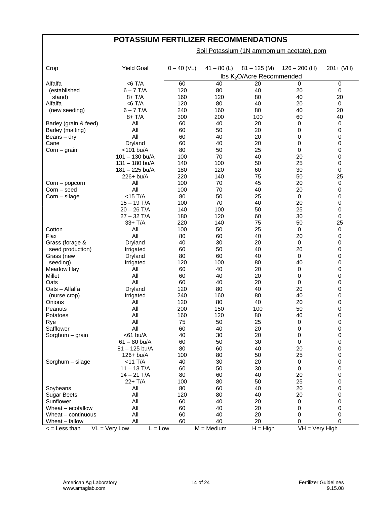| POTASSIUM FERTILIZER RECOMMENDATIONS |                                         |               |               |                                       |                                           |                  |  |  |  |  |  |  |
|--------------------------------------|-----------------------------------------|---------------|---------------|---------------------------------------|-------------------------------------------|------------------|--|--|--|--|--|--|
|                                      |                                         |               |               |                                       | Soil Potassium (1N ammomium acetate), ppm |                  |  |  |  |  |  |  |
|                                      |                                         |               |               |                                       |                                           |                  |  |  |  |  |  |  |
| Crop                                 | <b>Yield Goal</b>                       | $0 - 40$ (VL) | $41 - 80$ (L) | $81 - 125$ (M)                        | $126 - 200$ (H)                           | $201 + (VH)$     |  |  |  |  |  |  |
|                                      |                                         |               |               | Ibs K <sub>2</sub> O/Acre Recommended |                                           |                  |  |  |  |  |  |  |
| Alfalfa                              | $<$ 6 T/A                               | 60            | 40            | 20                                    | $\Omega$                                  | 0                |  |  |  |  |  |  |
| (established                         | $6 - 7$ T/A                             | 120           | 80            | 40                                    | 20                                        | 0                |  |  |  |  |  |  |
| stand)                               | $8+T/A$                                 | 160           | 120           | 80                                    | 40                                        | 20               |  |  |  |  |  |  |
| Alfalfa                              | $<$ 6 T/A                               | 120           | 80            | 40                                    | 20                                        | 0                |  |  |  |  |  |  |
| (new seeding)                        | $6 - 7$ T/A                             | 240           | 160           | 80                                    | 40                                        | 20               |  |  |  |  |  |  |
|                                      | $8+T/A$                                 | 300           | 200           | 100                                   | 60                                        | 40               |  |  |  |  |  |  |
| Barley (grain & feed)                | All                                     | 60            | 40            | 20                                    | 0                                         | 0                |  |  |  |  |  |  |
| Barley (malting)                     | All                                     | 60            | 50            | 20                                    | 0                                         | 0                |  |  |  |  |  |  |
| Beans – dry                          | All                                     | 60            | 40            | 20                                    | 0                                         | 0                |  |  |  |  |  |  |
| Cane                                 | Dryland                                 | 60            | 40            | 20                                    | 0                                         | 0                |  |  |  |  |  |  |
| $Corn - grain$                       | $<$ 101 bu/A                            | 80            | 50            | 25                                    | 0                                         | 0                |  |  |  |  |  |  |
|                                      | $101 - 130$ bu/A                        | 100           | 70            | 40                                    | 20                                        | 0                |  |  |  |  |  |  |
|                                      | 131 - 180 bu/A                          | 140           | 100           | 50                                    | 25                                        | 0                |  |  |  |  |  |  |
|                                      | 181 - 225 bu/A                          | 180           | 120           | 60                                    | 30                                        | 0                |  |  |  |  |  |  |
|                                      | 226+ bu/A                               | 220           | 140           | 75                                    | 50                                        | 25               |  |  |  |  |  |  |
| Corn – popcorn                       | All                                     | 100           | 70            | 45                                    | 20                                        | 0                |  |  |  |  |  |  |
| Corn - seed                          | All                                     | 100           | 70            | 40                                    | 20                                        | 0                |  |  |  |  |  |  |
|                                      | $<$ 15 T/A                              | 80            | 50            | 25                                    | 0                                         | $\mathbf 0$      |  |  |  |  |  |  |
| $Corn$ – silage                      | $15 - 19$ T/A                           | 100           | 70            | 40                                    | 20                                        |                  |  |  |  |  |  |  |
|                                      |                                         |               |               |                                       |                                           | 0                |  |  |  |  |  |  |
|                                      | $20 - 26$ T/A<br>$27 - 32$ T/A          | 140<br>180    | 100<br>120    | 50<br>60                              | 25<br>30                                  | 0<br>$\mathbf 0$ |  |  |  |  |  |  |
|                                      |                                         |               |               |                                       |                                           |                  |  |  |  |  |  |  |
|                                      | $33+T/A$                                | 220           | 140           | 75                                    | 50                                        | 25               |  |  |  |  |  |  |
| Cotton                               | All                                     | 100           | 50            | 25                                    | $\mathbf 0$                               | 0                |  |  |  |  |  |  |
| Flax                                 | All                                     | 80            | 60            | 40                                    | 20                                        | 0                |  |  |  |  |  |  |
| Grass (forage &                      | Dryland                                 | 40            | 30            | 20                                    | $\mathbf 0$                               | 0                |  |  |  |  |  |  |
| seed production)                     | Irrigated                               | 60            | 50            | 40                                    | 20                                        | 0                |  |  |  |  |  |  |
| Grass (new                           | Dryland                                 | 80            | 60            | 40                                    | $\mathbf 0$                               | 0                |  |  |  |  |  |  |
| seeding)                             | Irrigated                               | 120           | 100           | 80                                    | 40                                        | 0                |  |  |  |  |  |  |
| Meadow Hay                           | Αll                                     | 60            | 40            | 20                                    | 0                                         | 0                |  |  |  |  |  |  |
| Millet                               | All                                     | 60            | 40            | 20                                    | 0                                         | 0                |  |  |  |  |  |  |
| Oats                                 | All                                     | 60            | 40            | 20                                    | 0                                         | 0                |  |  |  |  |  |  |
| Oats - Alfalfa                       | Dryland                                 | 120           | 80            | 40                                    | 20                                        | 0                |  |  |  |  |  |  |
| (nurse crop)                         | Irrigated                               | 240           | 160           | 80                                    | 40                                        | $\mathbf 0$      |  |  |  |  |  |  |
| Onions                               | All                                     | 120           | 80            | 40                                    | 20                                        | 0                |  |  |  |  |  |  |
| Peanuts                              | All                                     | 200           | 150           | 100                                   | 50                                        | 0                |  |  |  |  |  |  |
| Potatoes                             | All                                     | 160           | 120           | 80                                    | 40                                        | 0                |  |  |  |  |  |  |
| Rye                                  | All                                     | 75            | 50            | 25                                    | $\mathbf 0$                               | 0                |  |  |  |  |  |  |
| Safflower                            | All                                     | 60            | 40            | 20                                    | 0                                         | 0                |  |  |  |  |  |  |
| Sorghum - grain                      | $<$ 61 bu/A                             | 40            | 30            | 20                                    | 0                                         | 0                |  |  |  |  |  |  |
|                                      | $61 - 80$ bu/A                          | 60            | 50            | 30                                    | 0                                         | 0                |  |  |  |  |  |  |
|                                      | 81-125 bu/A                             | 80            | 60            | 40                                    | 20                                        | 0                |  |  |  |  |  |  |
|                                      | 126+ bu/A                               | 100           | 80            | 50                                    | 25                                        | 0                |  |  |  |  |  |  |
| Sorghum - silage                     | $<$ 11 T/A                              | 40            | 30            | 20                                    | 0                                         | 0                |  |  |  |  |  |  |
|                                      | $11 - 13$ T/A                           | 60            | 50            | 30                                    | 0                                         | $\pmb{0}$        |  |  |  |  |  |  |
|                                      | $14 - 21$ T/A                           | 80            | 60            | 40                                    | 20                                        | $\pmb{0}$        |  |  |  |  |  |  |
|                                      | $22+T/A$                                | 100           | 80            | 50                                    | 25                                        | 0                |  |  |  |  |  |  |
| Soybeans                             | All                                     | 80            | 60            | 40                                    | 20                                        | 0                |  |  |  |  |  |  |
| <b>Sugar Beets</b>                   | All                                     | 120           | 80            | 40                                    | 20                                        | 0                |  |  |  |  |  |  |
| Sunflower                            | All                                     | 60            | 40            | 20                                    | $\pmb{0}$                                 | $\pmb{0}$        |  |  |  |  |  |  |
| Wheat - ecofallow                    | All                                     | 60            | 40            | 20                                    | 0                                         | 0                |  |  |  |  |  |  |
| Wheat - continuous                   | All                                     | 60            | 40            | 20                                    | 0                                         | 0                |  |  |  |  |  |  |
| Wheat - fallow                       | All                                     | 60            | 40            | 20                                    | 0                                         | $\mathbf 0$      |  |  |  |  |  |  |
| $\leq$ = Less than                   | $\overline{VL}$ = Very Low<br>$L = Low$ |               | $M = Medium$  | $H = High$                            | $VH = Very High$                          |                  |  |  |  |  |  |  |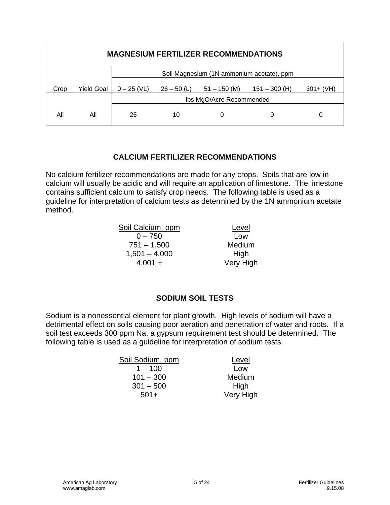|      | <b>MAGNESIUM FERTILIZER RECOMMENDATIONS</b> |               |               |                                           |                 |              |  |  |  |  |  |  |  |  |
|------|---------------------------------------------|---------------|---------------|-------------------------------------------|-----------------|--------------|--|--|--|--|--|--|--|--|
|      |                                             |               |               | Soil Magnesium (1N ammonium acetate), ppm |                 |              |  |  |  |  |  |  |  |  |
| Crop | Yield Goal                                  | $0 - 25$ (VL) | $26 - 50$ (L) | $51 - 150$ (M)                            | $151 - 300$ (H) | $301 + (VH)$ |  |  |  |  |  |  |  |  |
|      |                                             |               |               | Ibs MgO/Acre Recommended                  |                 |              |  |  |  |  |  |  |  |  |
| Αll  | All                                         | 25            | 10            | 0                                         | O               |              |  |  |  |  |  |  |  |  |

#### **CALCIUM FERTILIZER RECOMMENDATIONS**

No calcium fertilizer recommendations are made for any crops. Soils that are low in calcium will usually be acidic and will require an application of limestone. The limestone contains sufficient calcium to satisfy crop needs. The following table is used as a guideline for interpretation of calcium tests as determined by the 1N ammonium acetate method.

| Soil Calcium, ppm | Level     |
|-------------------|-----------|
| $0 - 750$         | Low       |
| $751 - 1,500$     | Medium    |
| $1,501 - 4,000$   | High      |
| $4,001 +$         | Very High |

## **SODIUM SOIL TESTS**

Sodium is a nonessential element for plant growth. High levels of sodium will have a detrimental effect on soils causing poor aeration and penetration of water and roots. If a soil test exceeds 300 ppm Na, a gypsum requirement test should be determined. The following table is used as a guideline for interpretation of sodium tests.

| Soil Sodium, ppm | Level     |
|------------------|-----------|
| $1 - 100$        | Low       |
| $101 - 300$      | Medium    |
| $301 - 500$      | High      |
| $501+$           | Very High |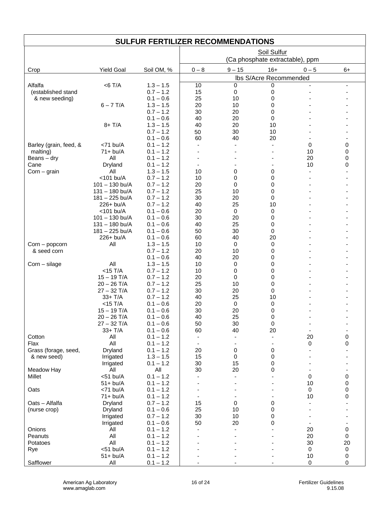#### **SULFUR FERTILIZER RECOMMENDATIONS**

|                               |                                |                            | Soil Sulfur              |                   |                                 |             |             |  |  |  |
|-------------------------------|--------------------------------|----------------------------|--------------------------|-------------------|---------------------------------|-------------|-------------|--|--|--|
|                               |                                |                            |                          |                   | (Ca phosphate extractable), ppm |             |             |  |  |  |
| Crop                          | <b>Yield Goal</b>              | Soil OM, %                 | $0 - 8$                  | $9 - 15$          | $16+$                           | $0 - 5$     | $6+$        |  |  |  |
|                               |                                |                            |                          |                   | Ibs S/Acre Recommended          |             |             |  |  |  |
| Alfalfa                       | $<$ 6 T/A                      | $1.3 - 1.5$                | 10                       | 0                 | $\mathbf 0$                     |             |             |  |  |  |
| (established stand            |                                | $0.7 - 1.2$                | 15                       | $\mathbf 0$       | 0                               |             |             |  |  |  |
| & new seeding)                | $6 - 7$ T/A                    | $0.1 - 0.6$<br>$1.3 - 1.5$ | 25<br>20                 | 10<br>10          | 0<br>0                          |             |             |  |  |  |
|                               |                                | $0.7 - 1.2$                | 30                       | 20                | 0                               |             |             |  |  |  |
|                               |                                | $0.1 - 0.6$                | 40                       | 20                | 0                               |             |             |  |  |  |
|                               | $8+T/A$                        | $1.3 - 1.5$                | 40                       | 20                | 10                              |             |             |  |  |  |
|                               |                                | $0.7 - 1.2$                | 50                       | 30                | 10                              |             |             |  |  |  |
|                               |                                | $0.1 - 0.6$                | 60                       | 40                | 20                              |             |             |  |  |  |
| Barley (grain, feed, &        | $<$ 71 bu/A                    | $0.1 - 1.2$                | $\blacksquare$           |                   |                                 | 0           | 0           |  |  |  |
| malting)                      | $71+bu/A$                      | $0.1 - 1.2$                |                          |                   |                                 | 10          | $\Omega$    |  |  |  |
| Beans $-$ dry                 | All                            | $0.1 - 1.2$                |                          |                   |                                 | 20          | 0           |  |  |  |
| Cane                          | Dryland<br>All                 | $0.1 - 1.2$<br>$1.3 - 1.5$ | 10                       | 0                 | 0                               | 10          | 0           |  |  |  |
| $Corn - grain$                | <101 bu/A                      | $0.7 - 1.2$                | 10                       | 0                 | 0                               |             |             |  |  |  |
|                               | $101 - 130$ bu/A               | $0.7 - 1.2$                | 20                       | 0                 | 0                               |             |             |  |  |  |
|                               | $131 - 180$ bu/A               | $0.7 - 1.2$                | 25                       | 10                | 0                               |             |             |  |  |  |
|                               | $181 - 225$ bu/A               | $0.7 - 1.2$                | 30                       | 20                | 0                               |             |             |  |  |  |
|                               | 226+ bu/A                      | $0.7 - 1.2$                | 40                       | 25                | 10                              |             |             |  |  |  |
|                               | <101 bu/A                      | $0.1 - 0.6$                | 20                       | $\mathbf 0$       | 0                               |             |             |  |  |  |
|                               | $101 - 130$ bu/A               | $0.1 - 0.6$                | 30                       | 20                | 0                               |             |             |  |  |  |
|                               | $131 - 180$ bu/A               | $0.1 - 0.6$                | 40                       | 25                | 0                               |             |             |  |  |  |
|                               | 181 - 225 bu/A                 | $0.1 - 0.6$                | 50                       | 30                | $\mathbf 0$                     |             |             |  |  |  |
|                               | 226+ bu/A                      | $0.1 - 0.6$                | 60                       | 40                | 20                              |             |             |  |  |  |
| Corn - popcorn<br>& seed corn | All                            | $1.3 - 1.5$<br>$0.7 - 1.2$ | 10<br>20                 | $\mathbf 0$<br>10 | 0<br>0                          |             |             |  |  |  |
|                               |                                | $0.1 - 0.6$                | 40                       | 20                | 0                               |             |             |  |  |  |
| Corn - silage                 | All                            | $1.3 - 1.5$                | 10                       | 0                 | 0                               |             |             |  |  |  |
|                               | $<$ 15 T/A                     | $0.7 - 1.2$                | 10                       | 0                 | 0                               |             |             |  |  |  |
|                               | $15 - 19$ T/A                  | $0.7 - 1.2$                | 20                       | 0                 | 0                               |             |             |  |  |  |
|                               | $20 - 26$ T/A                  | $0.7 - 1.2$                | 25                       | 10                | 0                               |             |             |  |  |  |
|                               | $27 - 32$ T/A                  | $0.7 - 1.2$                | 30                       | 20                | 0                               |             |             |  |  |  |
|                               | $33+T/A$                       | $0.7 - 1.2$                | 40                       | 25                | 10                              |             |             |  |  |  |
|                               | $<$ 15 T/A                     | $0.1 - 0.6$                | 20                       | $\mathbf 0$       | 0                               |             |             |  |  |  |
|                               | $15 - 19$ T/A                  | $0.1 - 0.6$                | 30                       | 20                | 0                               |             |             |  |  |  |
|                               | $20 - 26$ T/A<br>$27 - 32$ T/A | $0.1 - 0.6$<br>$0.1 - 0.6$ | 40<br>50                 | 25<br>30          | 0<br>0                          |             |             |  |  |  |
|                               | $33+T/A$                       | $0.1 - 0.6$                | 60                       | 40                | 20                              |             |             |  |  |  |
| Cotton                        | All                            | $0.1 - 1.2$                | $\overline{\phantom{a}}$ |                   |                                 | 20          | 0           |  |  |  |
| Flax                          | All                            | $0.1 - 1.2$                | $\overline{\phantom{a}}$ |                   |                                 | 0           | 0           |  |  |  |
| Grass (forage, seed,          | Dryland                        | $0.1 - 1.2$                | 20                       | 0                 | 0                               |             |             |  |  |  |
| & new seed)                   | Irrigated                      | $1.3 - 1.5$                | 15                       | 0                 | 0                               |             |             |  |  |  |
|                               | Irrigated                      | $0.1 - 1.2$                | 30                       | 15                | 0                               |             |             |  |  |  |
| Meadow Hay                    | All                            | All                        | 30                       | 20                | 0                               |             |             |  |  |  |
| Millet                        | $<$ 51 bu/A                    | $0.1 - 1.2$                | $\overline{\phantom{a}}$ |                   |                                 | $\mathbf 0$ | 0           |  |  |  |
|                               | $51+bu/A$                      | $0.1 - 1.2$                |                          |                   |                                 | 10          | 0           |  |  |  |
| Oats                          | $<$ 71 bu/A                    | $0.1 - 1.2$                |                          |                   |                                 | $\mathbf 0$ | 0<br>0      |  |  |  |
| Oats - Alfalfa                | $71+bu/A$<br>Dryland           | $0.1 - 1.2$<br>$0.7 - 1.2$ | 15                       | 0                 | 0                               | 10          |             |  |  |  |
| (nurse crop)                  | Dryland                        | $0.1 - 0.6$                | 25                       | 10                | 0                               |             |             |  |  |  |
|                               | Irrigated                      | $0.7 - 1.2$                | 30                       | 10                | 0                               |             |             |  |  |  |
|                               | Irrigated                      | $0.1 - 0.6$                | 50                       | 20                | 0                               |             |             |  |  |  |
| Onions                        | All                            | $0.1 - 1.2$                | $\overline{\phantom{a}}$ |                   |                                 | 20          | 0           |  |  |  |
| Peanuts                       | All                            | $0.1 - 1.2$                |                          |                   |                                 | 20          | $\mathbf 0$ |  |  |  |
| Potatoes                      | All                            | $0.1 - 1.2$                |                          |                   |                                 | 30          | 20          |  |  |  |
| Rye                           | $<$ 51 bu/A                    | $0.1 - 1.2$                |                          |                   |                                 | 0           | $\pmb{0}$   |  |  |  |
|                               | $51+bu/A$                      | $0.1 - 1.2$                |                          |                   |                                 | 10          | 0           |  |  |  |
| Safflower                     | All                            | $0.1 - 1.2$                | $\blacksquare$           |                   |                                 | $\mathbf 0$ | $\mathbf 0$ |  |  |  |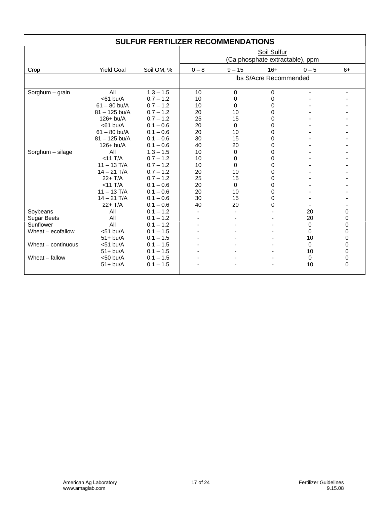|                     |                   | <b>SULFUR FERTILIZER RECOMMENDATIONS</b> |         |             |                                                |                          |          |
|---------------------|-------------------|------------------------------------------|---------|-------------|------------------------------------------------|--------------------------|----------|
|                     |                   |                                          |         |             | Soil Sulfur<br>(Ca phosphate extractable), ppm |                          |          |
| Crop                | <b>Yield Goal</b> | Soil OM, %                               | $0 - 8$ | $9 - 15$    | $16+$                                          | $0 - 5$                  | $6+$     |
|                     |                   |                                          |         |             | Ibs S/Acre Recommended                         |                          |          |
|                     |                   |                                          |         |             |                                                |                          |          |
| Sorghum $-$ grain   | All               | $1.3 - 1.5$                              | 10      | 0           | 0                                              | $\overline{\phantom{a}}$ |          |
|                     | $<$ 61 bu/A       | $0.7 - 1.2$                              | 10      | 0           | 0                                              |                          |          |
|                     | $61 - 80$ bu/A    | $0.7 - 1.2$                              | 10      | $\Omega$    | 0                                              |                          |          |
|                     | $81 - 125$ bu/A   | $0.7 - 1.2$                              | 20      | 10          | 0                                              |                          |          |
|                     | $126+$ bu/A       | $0.7 - 1.2$                              | 25      | 15          | 0                                              |                          |          |
|                     | $<$ 61 bu/A       | $0.1 - 0.6$                              | 20      | $\Omega$    | 0                                              |                          |          |
|                     | $61 - 80$ bu/A    | $0.1 - 0.6$                              | 20      | 10          | 0                                              |                          |          |
|                     | $81 - 125$ bu/A   | $0.1 - 0.6$                              | 30      | 15          | 0                                              |                          |          |
|                     | $126 + bu/A$      | $0.1 - 0.6$                              | 40      | 20          | 0                                              |                          |          |
| Sorghum - silage    | All               | $1.3 - 1.5$                              | 10      | 0           | 0                                              |                          |          |
|                     | $<$ 11 T/A        | $0.7 - 1.2$                              | 10      | 0           | 0                                              |                          |          |
|                     | $11 - 13$ T/A     | $0.7 - 1.2$                              | 10      | $\mathbf 0$ | 0                                              |                          |          |
|                     | $14 - 21$ T/A     | $0.7 - 1.2$                              | 20      | 10          | 0                                              |                          |          |
|                     | $22+T/A$          | $0.7 - 1.2$                              | 25      | 15          | 0                                              |                          |          |
|                     | $<$ 11 T/A        | $0.1 - 0.6$                              | 20      | $\Omega$    | 0                                              |                          |          |
|                     | $11 - 13$ T/A     | $0.1 - 0.6$                              | 20      | 10          | 0                                              |                          |          |
|                     | $14 - 21$ T/A     | $0.1 - 0.6$                              | 30      | 15          | $\Omega$                                       |                          |          |
|                     | $22+T/A$          | $0.1 - 0.6$                              | 40      | 20          | $\Omega$                                       |                          |          |
| Soybeans            | All               | $0.1 - 1.2$                              |         | ٠           |                                                | 20                       | 0        |
| <b>Sugar Beets</b>  | All               | $0.1 - 1.2$                              |         |             |                                                | 20                       | 0        |
| Sunflower           | All               | $0.1 - 1.2$                              |         |             |                                                | 0                        | 0        |
| Wheat $-$ ecofallow | $<$ 51 bu/A       | $0.1 - 1.5$                              |         |             |                                                | 0                        | 0        |
|                     | $51+bu/A$         | $0.1 - 1.5$                              |         |             |                                                | 10                       | 0        |
| Wheat - continuous  | $<$ 51 bu/A       | $0.1 - 1.5$                              |         |             |                                                | $\Omega$                 | 0        |
|                     | $51+bu/A$         | $0.1 - 1.5$                              |         |             |                                                | 10                       | 0        |
| Wheat - fallow      | $<$ 50 bu/A       | $0.1 - 1.5$                              |         |             |                                                | 0                        | 0        |
|                     | $51+bu/A$         | $0.1 - 1.5$                              |         |             |                                                | 10                       | $\Omega$ |
|                     |                   |                                          |         |             |                                                |                          |          |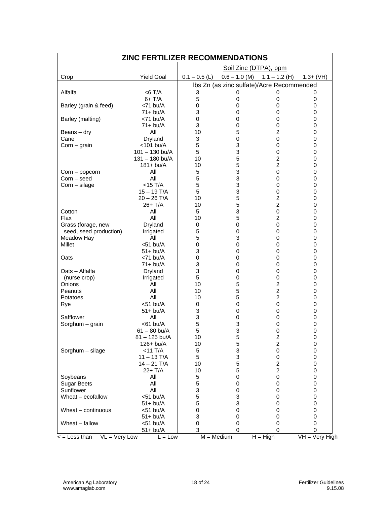| Soil Zinc (DTPA), ppm<br><b>Yield Goal</b><br>$0.1 - 0.5$ (L)<br>$0.6 - 1.0$ (M)<br>$1.1 - 1.2$ (H)<br>$1.3+ (VH)$<br>Crop<br>Ibs Zn (as zinc sulfate)/Acre Recommended<br>3<br>Alfalfa<br>$<$ 6 T/A<br>0<br>0<br>0<br>$6+T/A$<br>5<br>0<br>0<br>0<br>Barley (grain & feed)<br>0<br>$\mathbf 0$<br>$<$ 71 bu/A<br>0<br>0<br>3<br>$71+bu/A$<br>0<br>0<br>0<br>Barley (malting)<br>0<br>$<$ 71 bu/A<br>0<br>0<br>0<br>3<br>$\mathbf 0$<br>71+ bu/A<br>0<br>0<br>5<br>$\overline{2}$<br>All<br>10<br>0<br>Beans – dry<br>3<br>$\mathbf 0$<br>0<br>Cane<br>Dryland<br>0<br>3<br><101 bu/A<br>5<br>0<br>$Corn - grain$<br>0<br>5<br>3<br>$101 - 130$ bu/A<br>0<br>0<br>5<br>$\overline{c}$<br>$131 - 180$ bu/A<br>10<br>0<br>5<br>$\overline{c}$<br>$181 + bu/A$<br>10<br>0<br>3<br>All<br>5<br>0<br>0<br>Corn – popcorn<br>3<br>5<br>Corn - seed<br>All<br>0<br>0<br>3<br>$<$ 15 T/A<br>5<br>$Corn$ – silage<br>0<br>0<br>3<br>$15 - 19$ T/A<br>5<br>0<br>0<br>5<br>$20 - 26$ T/A<br>2<br>10<br>0<br>5<br>$\overline{2}$<br>26+ T/A<br>10<br>0<br>3<br>All<br>5<br>0<br>Cotton<br>0<br>All<br>5<br>$\overline{2}$<br>Flax<br>10<br>0<br>$\mathbf 0$<br>Grass (forage, new<br>Dryland<br>0<br>0<br>0<br>5<br>0<br>0<br>seed, seed production)<br>Irrigated<br>0<br>All<br>5<br>3<br>Meadow Hay<br>0<br>0<br><b>Millet</b><br>$<$ 51 bu/A<br>0<br>$\mathbf 0$<br>0<br>0<br>3<br>$51 + bu/A$<br>0<br>0<br>0<br>$<$ 71 bu/A<br>0<br>Oats<br>0<br>0<br>0<br>3<br>0<br>$71+bu/A$<br>0<br>0<br>3<br>Oats - Alfalfa<br>Dryland<br>0<br>0<br>0<br>5<br>$\mathbf 0$<br>(nurse crop)<br>Irrigated<br>0<br>0<br>5<br>$\overline{\mathbf{c}}$<br>All<br>10<br>Onions<br>0<br>All<br>5<br>$\overline{c}$<br>10<br>0<br>Peanuts<br>5<br>$\overline{c}$<br>All<br>Potatoes<br>10<br>0<br>$<$ 51 bu/A<br>0<br>0<br>0<br>0<br>Rye<br>3<br>$51 + bu/A$<br>$\mathbf 0$<br>0<br>0<br>3<br>Safflower<br>All<br>$\mathbf 0$<br>0<br>0<br>5<br>3<br>Sorghum - grain<br>$<$ 61 bu/A<br>0<br>0<br>5<br>3<br>$61 - 80$ bu/A<br>0<br>0<br>5<br>2<br>81 - 125 bu/A<br>10<br>0<br>5<br>$\overline{\mathbf{c}}$<br>10<br>$126 + bu/A$<br>0<br>3<br>Sorghum - silage<br>$<$ 11 T/A<br>5<br>0<br>0<br>5<br>3<br>$11 - 13$ T/A<br>0<br>0<br>5<br>$14 - 21$ T/A<br>10<br>$\overline{\mathbf{c}}$<br>0<br>5<br>22+ T/A<br>2<br>10<br>0<br>All<br>5<br>0<br>Soybeans<br>0<br>0<br>5<br>All<br><b>Sugar Beets</b><br>0<br>0<br>0<br>Sunflower<br>All<br>3<br>0<br>0<br>0<br>Wheat - ecofallow<br>5<br>3<br>$<$ 51 bu/A<br>0<br>0<br>5<br>3<br>$51 + bu/A$<br>0<br>0<br>Wheat - continuous<br>0<br>$<$ 51 bu/A<br>0<br>0<br>0<br>3<br>0<br>$51 + bu/A$<br>0<br>0<br>Wheat - fallow<br>$<$ 51 bu/A<br>0<br>0<br>0<br>0<br>3<br>$51 + bu/A$<br>0<br>0<br>0<br>$\overline{VH} = V$ ery High<br>$VL = Very Low$<br>< = Less than<br>$L = Low$<br>$M = Medium$<br>$H = High$ | <b>ZINC FERTILIZER RECOMMENDATIONS</b> |  |  |  |  |  |
|------------------------------------------------------------------------------------------------------------------------------------------------------------------------------------------------------------------------------------------------------------------------------------------------------------------------------------------------------------------------------------------------------------------------------------------------------------------------------------------------------------------------------------------------------------------------------------------------------------------------------------------------------------------------------------------------------------------------------------------------------------------------------------------------------------------------------------------------------------------------------------------------------------------------------------------------------------------------------------------------------------------------------------------------------------------------------------------------------------------------------------------------------------------------------------------------------------------------------------------------------------------------------------------------------------------------------------------------------------------------------------------------------------------------------------------------------------------------------------------------------------------------------------------------------------------------------------------------------------------------------------------------------------------------------------------------------------------------------------------------------------------------------------------------------------------------------------------------------------------------------------------------------------------------------------------------------------------------------------------------------------------------------------------------------------------------------------------------------------------------------------------------------------------------------------------------------------------------------------------------------------------------------------------------------------------------------------------------------------------------------------------------------------------------------------------------------------------------------------------------------------------------------------------------------------------------------------------------------------------------------------------------------------------------------------------------------------------------------------------------------------------------------------------------------------------------------|----------------------------------------|--|--|--|--|--|
|                                                                                                                                                                                                                                                                                                                                                                                                                                                                                                                                                                                                                                                                                                                                                                                                                                                                                                                                                                                                                                                                                                                                                                                                                                                                                                                                                                                                                                                                                                                                                                                                                                                                                                                                                                                                                                                                                                                                                                                                                                                                                                                                                                                                                                                                                                                                                                                                                                                                                                                                                                                                                                                                                                                                                                                                                              |                                        |  |  |  |  |  |
|                                                                                                                                                                                                                                                                                                                                                                                                                                                                                                                                                                                                                                                                                                                                                                                                                                                                                                                                                                                                                                                                                                                                                                                                                                                                                                                                                                                                                                                                                                                                                                                                                                                                                                                                                                                                                                                                                                                                                                                                                                                                                                                                                                                                                                                                                                                                                                                                                                                                                                                                                                                                                                                                                                                                                                                                                              |                                        |  |  |  |  |  |
|                                                                                                                                                                                                                                                                                                                                                                                                                                                                                                                                                                                                                                                                                                                                                                                                                                                                                                                                                                                                                                                                                                                                                                                                                                                                                                                                                                                                                                                                                                                                                                                                                                                                                                                                                                                                                                                                                                                                                                                                                                                                                                                                                                                                                                                                                                                                                                                                                                                                                                                                                                                                                                                                                                                                                                                                                              |                                        |  |  |  |  |  |
|                                                                                                                                                                                                                                                                                                                                                                                                                                                                                                                                                                                                                                                                                                                                                                                                                                                                                                                                                                                                                                                                                                                                                                                                                                                                                                                                                                                                                                                                                                                                                                                                                                                                                                                                                                                                                                                                                                                                                                                                                                                                                                                                                                                                                                                                                                                                                                                                                                                                                                                                                                                                                                                                                                                                                                                                                              |                                        |  |  |  |  |  |
|                                                                                                                                                                                                                                                                                                                                                                                                                                                                                                                                                                                                                                                                                                                                                                                                                                                                                                                                                                                                                                                                                                                                                                                                                                                                                                                                                                                                                                                                                                                                                                                                                                                                                                                                                                                                                                                                                                                                                                                                                                                                                                                                                                                                                                                                                                                                                                                                                                                                                                                                                                                                                                                                                                                                                                                                                              |                                        |  |  |  |  |  |
|                                                                                                                                                                                                                                                                                                                                                                                                                                                                                                                                                                                                                                                                                                                                                                                                                                                                                                                                                                                                                                                                                                                                                                                                                                                                                                                                                                                                                                                                                                                                                                                                                                                                                                                                                                                                                                                                                                                                                                                                                                                                                                                                                                                                                                                                                                                                                                                                                                                                                                                                                                                                                                                                                                                                                                                                                              |                                        |  |  |  |  |  |
|                                                                                                                                                                                                                                                                                                                                                                                                                                                                                                                                                                                                                                                                                                                                                                                                                                                                                                                                                                                                                                                                                                                                                                                                                                                                                                                                                                                                                                                                                                                                                                                                                                                                                                                                                                                                                                                                                                                                                                                                                                                                                                                                                                                                                                                                                                                                                                                                                                                                                                                                                                                                                                                                                                                                                                                                                              |                                        |  |  |  |  |  |
|                                                                                                                                                                                                                                                                                                                                                                                                                                                                                                                                                                                                                                                                                                                                                                                                                                                                                                                                                                                                                                                                                                                                                                                                                                                                                                                                                                                                                                                                                                                                                                                                                                                                                                                                                                                                                                                                                                                                                                                                                                                                                                                                                                                                                                                                                                                                                                                                                                                                                                                                                                                                                                                                                                                                                                                                                              |                                        |  |  |  |  |  |
|                                                                                                                                                                                                                                                                                                                                                                                                                                                                                                                                                                                                                                                                                                                                                                                                                                                                                                                                                                                                                                                                                                                                                                                                                                                                                                                                                                                                                                                                                                                                                                                                                                                                                                                                                                                                                                                                                                                                                                                                                                                                                                                                                                                                                                                                                                                                                                                                                                                                                                                                                                                                                                                                                                                                                                                                                              |                                        |  |  |  |  |  |
|                                                                                                                                                                                                                                                                                                                                                                                                                                                                                                                                                                                                                                                                                                                                                                                                                                                                                                                                                                                                                                                                                                                                                                                                                                                                                                                                                                                                                                                                                                                                                                                                                                                                                                                                                                                                                                                                                                                                                                                                                                                                                                                                                                                                                                                                                                                                                                                                                                                                                                                                                                                                                                                                                                                                                                                                                              |                                        |  |  |  |  |  |
|                                                                                                                                                                                                                                                                                                                                                                                                                                                                                                                                                                                                                                                                                                                                                                                                                                                                                                                                                                                                                                                                                                                                                                                                                                                                                                                                                                                                                                                                                                                                                                                                                                                                                                                                                                                                                                                                                                                                                                                                                                                                                                                                                                                                                                                                                                                                                                                                                                                                                                                                                                                                                                                                                                                                                                                                                              |                                        |  |  |  |  |  |
|                                                                                                                                                                                                                                                                                                                                                                                                                                                                                                                                                                                                                                                                                                                                                                                                                                                                                                                                                                                                                                                                                                                                                                                                                                                                                                                                                                                                                                                                                                                                                                                                                                                                                                                                                                                                                                                                                                                                                                                                                                                                                                                                                                                                                                                                                                                                                                                                                                                                                                                                                                                                                                                                                                                                                                                                                              |                                        |  |  |  |  |  |
|                                                                                                                                                                                                                                                                                                                                                                                                                                                                                                                                                                                                                                                                                                                                                                                                                                                                                                                                                                                                                                                                                                                                                                                                                                                                                                                                                                                                                                                                                                                                                                                                                                                                                                                                                                                                                                                                                                                                                                                                                                                                                                                                                                                                                                                                                                                                                                                                                                                                                                                                                                                                                                                                                                                                                                                                                              |                                        |  |  |  |  |  |
|                                                                                                                                                                                                                                                                                                                                                                                                                                                                                                                                                                                                                                                                                                                                                                                                                                                                                                                                                                                                                                                                                                                                                                                                                                                                                                                                                                                                                                                                                                                                                                                                                                                                                                                                                                                                                                                                                                                                                                                                                                                                                                                                                                                                                                                                                                                                                                                                                                                                                                                                                                                                                                                                                                                                                                                                                              |                                        |  |  |  |  |  |
|                                                                                                                                                                                                                                                                                                                                                                                                                                                                                                                                                                                                                                                                                                                                                                                                                                                                                                                                                                                                                                                                                                                                                                                                                                                                                                                                                                                                                                                                                                                                                                                                                                                                                                                                                                                                                                                                                                                                                                                                                                                                                                                                                                                                                                                                                                                                                                                                                                                                                                                                                                                                                                                                                                                                                                                                                              |                                        |  |  |  |  |  |
|                                                                                                                                                                                                                                                                                                                                                                                                                                                                                                                                                                                                                                                                                                                                                                                                                                                                                                                                                                                                                                                                                                                                                                                                                                                                                                                                                                                                                                                                                                                                                                                                                                                                                                                                                                                                                                                                                                                                                                                                                                                                                                                                                                                                                                                                                                                                                                                                                                                                                                                                                                                                                                                                                                                                                                                                                              |                                        |  |  |  |  |  |
|                                                                                                                                                                                                                                                                                                                                                                                                                                                                                                                                                                                                                                                                                                                                                                                                                                                                                                                                                                                                                                                                                                                                                                                                                                                                                                                                                                                                                                                                                                                                                                                                                                                                                                                                                                                                                                                                                                                                                                                                                                                                                                                                                                                                                                                                                                                                                                                                                                                                                                                                                                                                                                                                                                                                                                                                                              |                                        |  |  |  |  |  |
|                                                                                                                                                                                                                                                                                                                                                                                                                                                                                                                                                                                                                                                                                                                                                                                                                                                                                                                                                                                                                                                                                                                                                                                                                                                                                                                                                                                                                                                                                                                                                                                                                                                                                                                                                                                                                                                                                                                                                                                                                                                                                                                                                                                                                                                                                                                                                                                                                                                                                                                                                                                                                                                                                                                                                                                                                              |                                        |  |  |  |  |  |
|                                                                                                                                                                                                                                                                                                                                                                                                                                                                                                                                                                                                                                                                                                                                                                                                                                                                                                                                                                                                                                                                                                                                                                                                                                                                                                                                                                                                                                                                                                                                                                                                                                                                                                                                                                                                                                                                                                                                                                                                                                                                                                                                                                                                                                                                                                                                                                                                                                                                                                                                                                                                                                                                                                                                                                                                                              |                                        |  |  |  |  |  |
|                                                                                                                                                                                                                                                                                                                                                                                                                                                                                                                                                                                                                                                                                                                                                                                                                                                                                                                                                                                                                                                                                                                                                                                                                                                                                                                                                                                                                                                                                                                                                                                                                                                                                                                                                                                                                                                                                                                                                                                                                                                                                                                                                                                                                                                                                                                                                                                                                                                                                                                                                                                                                                                                                                                                                                                                                              |                                        |  |  |  |  |  |
|                                                                                                                                                                                                                                                                                                                                                                                                                                                                                                                                                                                                                                                                                                                                                                                                                                                                                                                                                                                                                                                                                                                                                                                                                                                                                                                                                                                                                                                                                                                                                                                                                                                                                                                                                                                                                                                                                                                                                                                                                                                                                                                                                                                                                                                                                                                                                                                                                                                                                                                                                                                                                                                                                                                                                                                                                              |                                        |  |  |  |  |  |
|                                                                                                                                                                                                                                                                                                                                                                                                                                                                                                                                                                                                                                                                                                                                                                                                                                                                                                                                                                                                                                                                                                                                                                                                                                                                                                                                                                                                                                                                                                                                                                                                                                                                                                                                                                                                                                                                                                                                                                                                                                                                                                                                                                                                                                                                                                                                                                                                                                                                                                                                                                                                                                                                                                                                                                                                                              |                                        |  |  |  |  |  |
|                                                                                                                                                                                                                                                                                                                                                                                                                                                                                                                                                                                                                                                                                                                                                                                                                                                                                                                                                                                                                                                                                                                                                                                                                                                                                                                                                                                                                                                                                                                                                                                                                                                                                                                                                                                                                                                                                                                                                                                                                                                                                                                                                                                                                                                                                                                                                                                                                                                                                                                                                                                                                                                                                                                                                                                                                              |                                        |  |  |  |  |  |
|                                                                                                                                                                                                                                                                                                                                                                                                                                                                                                                                                                                                                                                                                                                                                                                                                                                                                                                                                                                                                                                                                                                                                                                                                                                                                                                                                                                                                                                                                                                                                                                                                                                                                                                                                                                                                                                                                                                                                                                                                                                                                                                                                                                                                                                                                                                                                                                                                                                                                                                                                                                                                                                                                                                                                                                                                              |                                        |  |  |  |  |  |
|                                                                                                                                                                                                                                                                                                                                                                                                                                                                                                                                                                                                                                                                                                                                                                                                                                                                                                                                                                                                                                                                                                                                                                                                                                                                                                                                                                                                                                                                                                                                                                                                                                                                                                                                                                                                                                                                                                                                                                                                                                                                                                                                                                                                                                                                                                                                                                                                                                                                                                                                                                                                                                                                                                                                                                                                                              |                                        |  |  |  |  |  |
|                                                                                                                                                                                                                                                                                                                                                                                                                                                                                                                                                                                                                                                                                                                                                                                                                                                                                                                                                                                                                                                                                                                                                                                                                                                                                                                                                                                                                                                                                                                                                                                                                                                                                                                                                                                                                                                                                                                                                                                                                                                                                                                                                                                                                                                                                                                                                                                                                                                                                                                                                                                                                                                                                                                                                                                                                              |                                        |  |  |  |  |  |
|                                                                                                                                                                                                                                                                                                                                                                                                                                                                                                                                                                                                                                                                                                                                                                                                                                                                                                                                                                                                                                                                                                                                                                                                                                                                                                                                                                                                                                                                                                                                                                                                                                                                                                                                                                                                                                                                                                                                                                                                                                                                                                                                                                                                                                                                                                                                                                                                                                                                                                                                                                                                                                                                                                                                                                                                                              |                                        |  |  |  |  |  |
|                                                                                                                                                                                                                                                                                                                                                                                                                                                                                                                                                                                                                                                                                                                                                                                                                                                                                                                                                                                                                                                                                                                                                                                                                                                                                                                                                                                                                                                                                                                                                                                                                                                                                                                                                                                                                                                                                                                                                                                                                                                                                                                                                                                                                                                                                                                                                                                                                                                                                                                                                                                                                                                                                                                                                                                                                              |                                        |  |  |  |  |  |
|                                                                                                                                                                                                                                                                                                                                                                                                                                                                                                                                                                                                                                                                                                                                                                                                                                                                                                                                                                                                                                                                                                                                                                                                                                                                                                                                                                                                                                                                                                                                                                                                                                                                                                                                                                                                                                                                                                                                                                                                                                                                                                                                                                                                                                                                                                                                                                                                                                                                                                                                                                                                                                                                                                                                                                                                                              |                                        |  |  |  |  |  |
|                                                                                                                                                                                                                                                                                                                                                                                                                                                                                                                                                                                                                                                                                                                                                                                                                                                                                                                                                                                                                                                                                                                                                                                                                                                                                                                                                                                                                                                                                                                                                                                                                                                                                                                                                                                                                                                                                                                                                                                                                                                                                                                                                                                                                                                                                                                                                                                                                                                                                                                                                                                                                                                                                                                                                                                                                              |                                        |  |  |  |  |  |
|                                                                                                                                                                                                                                                                                                                                                                                                                                                                                                                                                                                                                                                                                                                                                                                                                                                                                                                                                                                                                                                                                                                                                                                                                                                                                                                                                                                                                                                                                                                                                                                                                                                                                                                                                                                                                                                                                                                                                                                                                                                                                                                                                                                                                                                                                                                                                                                                                                                                                                                                                                                                                                                                                                                                                                                                                              |                                        |  |  |  |  |  |
|                                                                                                                                                                                                                                                                                                                                                                                                                                                                                                                                                                                                                                                                                                                                                                                                                                                                                                                                                                                                                                                                                                                                                                                                                                                                                                                                                                                                                                                                                                                                                                                                                                                                                                                                                                                                                                                                                                                                                                                                                                                                                                                                                                                                                                                                                                                                                                                                                                                                                                                                                                                                                                                                                                                                                                                                                              |                                        |  |  |  |  |  |
|                                                                                                                                                                                                                                                                                                                                                                                                                                                                                                                                                                                                                                                                                                                                                                                                                                                                                                                                                                                                                                                                                                                                                                                                                                                                                                                                                                                                                                                                                                                                                                                                                                                                                                                                                                                                                                                                                                                                                                                                                                                                                                                                                                                                                                                                                                                                                                                                                                                                                                                                                                                                                                                                                                                                                                                                                              |                                        |  |  |  |  |  |
|                                                                                                                                                                                                                                                                                                                                                                                                                                                                                                                                                                                                                                                                                                                                                                                                                                                                                                                                                                                                                                                                                                                                                                                                                                                                                                                                                                                                                                                                                                                                                                                                                                                                                                                                                                                                                                                                                                                                                                                                                                                                                                                                                                                                                                                                                                                                                                                                                                                                                                                                                                                                                                                                                                                                                                                                                              |                                        |  |  |  |  |  |
|                                                                                                                                                                                                                                                                                                                                                                                                                                                                                                                                                                                                                                                                                                                                                                                                                                                                                                                                                                                                                                                                                                                                                                                                                                                                                                                                                                                                                                                                                                                                                                                                                                                                                                                                                                                                                                                                                                                                                                                                                                                                                                                                                                                                                                                                                                                                                                                                                                                                                                                                                                                                                                                                                                                                                                                                                              |                                        |  |  |  |  |  |
|                                                                                                                                                                                                                                                                                                                                                                                                                                                                                                                                                                                                                                                                                                                                                                                                                                                                                                                                                                                                                                                                                                                                                                                                                                                                                                                                                                                                                                                                                                                                                                                                                                                                                                                                                                                                                                                                                                                                                                                                                                                                                                                                                                                                                                                                                                                                                                                                                                                                                                                                                                                                                                                                                                                                                                                                                              |                                        |  |  |  |  |  |
|                                                                                                                                                                                                                                                                                                                                                                                                                                                                                                                                                                                                                                                                                                                                                                                                                                                                                                                                                                                                                                                                                                                                                                                                                                                                                                                                                                                                                                                                                                                                                                                                                                                                                                                                                                                                                                                                                                                                                                                                                                                                                                                                                                                                                                                                                                                                                                                                                                                                                                                                                                                                                                                                                                                                                                                                                              |                                        |  |  |  |  |  |
|                                                                                                                                                                                                                                                                                                                                                                                                                                                                                                                                                                                                                                                                                                                                                                                                                                                                                                                                                                                                                                                                                                                                                                                                                                                                                                                                                                                                                                                                                                                                                                                                                                                                                                                                                                                                                                                                                                                                                                                                                                                                                                                                                                                                                                                                                                                                                                                                                                                                                                                                                                                                                                                                                                                                                                                                                              |                                        |  |  |  |  |  |
|                                                                                                                                                                                                                                                                                                                                                                                                                                                                                                                                                                                                                                                                                                                                                                                                                                                                                                                                                                                                                                                                                                                                                                                                                                                                                                                                                                                                                                                                                                                                                                                                                                                                                                                                                                                                                                                                                                                                                                                                                                                                                                                                                                                                                                                                                                                                                                                                                                                                                                                                                                                                                                                                                                                                                                                                                              |                                        |  |  |  |  |  |
|                                                                                                                                                                                                                                                                                                                                                                                                                                                                                                                                                                                                                                                                                                                                                                                                                                                                                                                                                                                                                                                                                                                                                                                                                                                                                                                                                                                                                                                                                                                                                                                                                                                                                                                                                                                                                                                                                                                                                                                                                                                                                                                                                                                                                                                                                                                                                                                                                                                                                                                                                                                                                                                                                                                                                                                                                              |                                        |  |  |  |  |  |
|                                                                                                                                                                                                                                                                                                                                                                                                                                                                                                                                                                                                                                                                                                                                                                                                                                                                                                                                                                                                                                                                                                                                                                                                                                                                                                                                                                                                                                                                                                                                                                                                                                                                                                                                                                                                                                                                                                                                                                                                                                                                                                                                                                                                                                                                                                                                                                                                                                                                                                                                                                                                                                                                                                                                                                                                                              |                                        |  |  |  |  |  |
|                                                                                                                                                                                                                                                                                                                                                                                                                                                                                                                                                                                                                                                                                                                                                                                                                                                                                                                                                                                                                                                                                                                                                                                                                                                                                                                                                                                                                                                                                                                                                                                                                                                                                                                                                                                                                                                                                                                                                                                                                                                                                                                                                                                                                                                                                                                                                                                                                                                                                                                                                                                                                                                                                                                                                                                                                              |                                        |  |  |  |  |  |
|                                                                                                                                                                                                                                                                                                                                                                                                                                                                                                                                                                                                                                                                                                                                                                                                                                                                                                                                                                                                                                                                                                                                                                                                                                                                                                                                                                                                                                                                                                                                                                                                                                                                                                                                                                                                                                                                                                                                                                                                                                                                                                                                                                                                                                                                                                                                                                                                                                                                                                                                                                                                                                                                                                                                                                                                                              |                                        |  |  |  |  |  |
|                                                                                                                                                                                                                                                                                                                                                                                                                                                                                                                                                                                                                                                                                                                                                                                                                                                                                                                                                                                                                                                                                                                                                                                                                                                                                                                                                                                                                                                                                                                                                                                                                                                                                                                                                                                                                                                                                                                                                                                                                                                                                                                                                                                                                                                                                                                                                                                                                                                                                                                                                                                                                                                                                                                                                                                                                              |                                        |  |  |  |  |  |
|                                                                                                                                                                                                                                                                                                                                                                                                                                                                                                                                                                                                                                                                                                                                                                                                                                                                                                                                                                                                                                                                                                                                                                                                                                                                                                                                                                                                                                                                                                                                                                                                                                                                                                                                                                                                                                                                                                                                                                                                                                                                                                                                                                                                                                                                                                                                                                                                                                                                                                                                                                                                                                                                                                                                                                                                                              |                                        |  |  |  |  |  |
|                                                                                                                                                                                                                                                                                                                                                                                                                                                                                                                                                                                                                                                                                                                                                                                                                                                                                                                                                                                                                                                                                                                                                                                                                                                                                                                                                                                                                                                                                                                                                                                                                                                                                                                                                                                                                                                                                                                                                                                                                                                                                                                                                                                                                                                                                                                                                                                                                                                                                                                                                                                                                                                                                                                                                                                                                              |                                        |  |  |  |  |  |
|                                                                                                                                                                                                                                                                                                                                                                                                                                                                                                                                                                                                                                                                                                                                                                                                                                                                                                                                                                                                                                                                                                                                                                                                                                                                                                                                                                                                                                                                                                                                                                                                                                                                                                                                                                                                                                                                                                                                                                                                                                                                                                                                                                                                                                                                                                                                                                                                                                                                                                                                                                                                                                                                                                                                                                                                                              |                                        |  |  |  |  |  |
|                                                                                                                                                                                                                                                                                                                                                                                                                                                                                                                                                                                                                                                                                                                                                                                                                                                                                                                                                                                                                                                                                                                                                                                                                                                                                                                                                                                                                                                                                                                                                                                                                                                                                                                                                                                                                                                                                                                                                                                                                                                                                                                                                                                                                                                                                                                                                                                                                                                                                                                                                                                                                                                                                                                                                                                                                              |                                        |  |  |  |  |  |
|                                                                                                                                                                                                                                                                                                                                                                                                                                                                                                                                                                                                                                                                                                                                                                                                                                                                                                                                                                                                                                                                                                                                                                                                                                                                                                                                                                                                                                                                                                                                                                                                                                                                                                                                                                                                                                                                                                                                                                                                                                                                                                                                                                                                                                                                                                                                                                                                                                                                                                                                                                                                                                                                                                                                                                                                                              |                                        |  |  |  |  |  |
|                                                                                                                                                                                                                                                                                                                                                                                                                                                                                                                                                                                                                                                                                                                                                                                                                                                                                                                                                                                                                                                                                                                                                                                                                                                                                                                                                                                                                                                                                                                                                                                                                                                                                                                                                                                                                                                                                                                                                                                                                                                                                                                                                                                                                                                                                                                                                                                                                                                                                                                                                                                                                                                                                                                                                                                                                              |                                        |  |  |  |  |  |
|                                                                                                                                                                                                                                                                                                                                                                                                                                                                                                                                                                                                                                                                                                                                                                                                                                                                                                                                                                                                                                                                                                                                                                                                                                                                                                                                                                                                                                                                                                                                                                                                                                                                                                                                                                                                                                                                                                                                                                                                                                                                                                                                                                                                                                                                                                                                                                                                                                                                                                                                                                                                                                                                                                                                                                                                                              |                                        |  |  |  |  |  |
|                                                                                                                                                                                                                                                                                                                                                                                                                                                                                                                                                                                                                                                                                                                                                                                                                                                                                                                                                                                                                                                                                                                                                                                                                                                                                                                                                                                                                                                                                                                                                                                                                                                                                                                                                                                                                                                                                                                                                                                                                                                                                                                                                                                                                                                                                                                                                                                                                                                                                                                                                                                                                                                                                                                                                                                                                              |                                        |  |  |  |  |  |
|                                                                                                                                                                                                                                                                                                                                                                                                                                                                                                                                                                                                                                                                                                                                                                                                                                                                                                                                                                                                                                                                                                                                                                                                                                                                                                                                                                                                                                                                                                                                                                                                                                                                                                                                                                                                                                                                                                                                                                                                                                                                                                                                                                                                                                                                                                                                                                                                                                                                                                                                                                                                                                                                                                                                                                                                                              |                                        |  |  |  |  |  |
|                                                                                                                                                                                                                                                                                                                                                                                                                                                                                                                                                                                                                                                                                                                                                                                                                                                                                                                                                                                                                                                                                                                                                                                                                                                                                                                                                                                                                                                                                                                                                                                                                                                                                                                                                                                                                                                                                                                                                                                                                                                                                                                                                                                                                                                                                                                                                                                                                                                                                                                                                                                                                                                                                                                                                                                                                              |                                        |  |  |  |  |  |
|                                                                                                                                                                                                                                                                                                                                                                                                                                                                                                                                                                                                                                                                                                                                                                                                                                                                                                                                                                                                                                                                                                                                                                                                                                                                                                                                                                                                                                                                                                                                                                                                                                                                                                                                                                                                                                                                                                                                                                                                                                                                                                                                                                                                                                                                                                                                                                                                                                                                                                                                                                                                                                                                                                                                                                                                                              |                                        |  |  |  |  |  |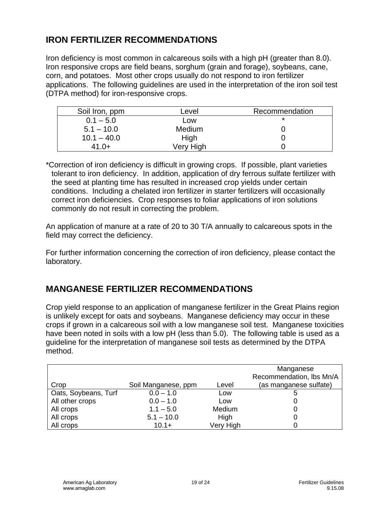Iron deficiency is most common in calcareous soils with a high pH (greater than 8.0). Iron responsive crops are field beans, sorghum (grain and forage), soybeans, cane, corn, and potatoes. Most other crops usually do not respond to iron fertilizer applications. The following guidelines are used in the interpretation of the iron soil test (DTPA method) for iron-responsive crops.

| Soil Iron, ppm | Level     | Recommendation |
|----------------|-----------|----------------|
| $0.1 - 5.0$    | LOW       | *              |
| $5.1 - 10.0$   | Medium    |                |
| $10.1 - 40.0$  | High      |                |
| $41.0+$        | Very High |                |

\*Correction of iron deficiency is difficult in growing crops. If possible, plant varieties tolerant to iron deficiency. In addition, application of dry ferrous sulfate fertilizer with the seed at planting time has resulted in increased crop yields under certain conditions. Including a chelated iron fertilizer in starter fertilizers will occasionally correct iron deficiencies. Crop responses to foliar applications of iron solutions commonly do not result in correcting the problem.

An application of manure at a rate of 20 to 30 T/A annually to calcareous spots in the field may correct the deficiency.

For further information concerning the correction of iron deficiency, please contact the laboratory.

## **MANGANESE FERTILIZER RECOMMENDATIONS**

Crop yield response to an application of manganese fertilizer in the Great Plains region is unlikely except for oats and soybeans. Manganese deficiency may occur in these crops if grown in a calcareous soil with a low manganese soil test. Manganese toxicities have been noted in soils with a low pH (less than 5.0). The following table is used as a guideline for the interpretation of manganese soil tests as determined by the DTPA method.

| Crop                 | Soil Manganese, ppm | Level     | Manganese<br>Recommendation, Ibs Mn/A<br>(as manganese sulfate) |
|----------------------|---------------------|-----------|-----------------------------------------------------------------|
| Oats, Soybeans, Turf | $0.0 - 1.0$         | Low       | b                                                               |
| All other crops      | $0.0 - 1.0$         | Low       |                                                                 |
| All crops            | $1.1 - 5.0$         | Medium    |                                                                 |
| All crops            | $5.1 - 10.0$        | High      |                                                                 |
| All crops            | $10.1+$             | Very High |                                                                 |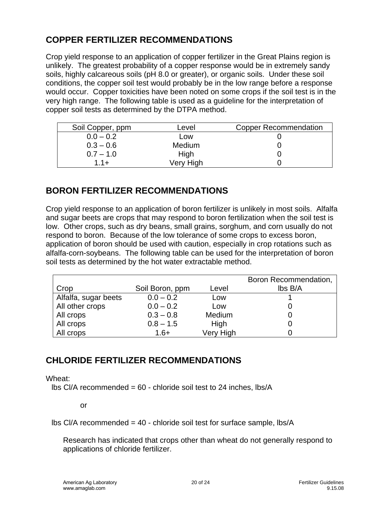# **COPPER FERTILIZER RECOMMENDATIONS**

Crop yield response to an application of copper fertilizer in the Great Plains region is unlikely. The greatest probability of a copper response would be in extremely sandy soils, highly calcareous soils (pH 8.0 or greater), or organic soils. Under these soil conditions, the copper soil test would probably be in the low range before a response would occur. Copper toxicities have been noted on some crops if the soil test is in the very high range. The following table is used as a guideline for the interpretation of copper soil tests as determined by the DTPA method.

| Soil Copper, ppm | Level     | <b>Copper Recommendation</b> |
|------------------|-----------|------------------------------|
| $0.0 - 0.2$      | Low       |                              |
| $0.3 - 0.6$      | Medium    |                              |
| $0.7 - 1.0$      | High      |                              |
| $11+$            | Very High |                              |

# **BORON FERTILIZER RECOMMENDATIONS**

Crop yield response to an application of boron fertilizer is unlikely in most soils. Alfalfa and sugar beets are crops that may respond to boron fertilization when the soil test is low. Other crops, such as dry beans, small grains, sorghum, and corn usually do not respond to boron. Because of the low tolerance of some crops to excess boron, application of boron should be used with caution, especially in crop rotations such as alfalfa-corn-soybeans. The following table can be used for the interpretation of boron soil tests as determined by the hot water extractable method.

|                      |                 |           | Boron Recommendation, |
|----------------------|-----------------|-----------|-----------------------|
| Crop                 | Soil Boron, ppm | Level     | lbs B/A               |
| Alfalfa, sugar beets | $0.0 - 0.2$     | Low       |                       |
| All other crops      | $0.0 - 0.2$     | Low       |                       |
| All crops            | $0.3 - 0.8$     | Medium    |                       |
| All crops            | $0.8 - 1.5$     | High      |                       |
| All crops            | $1.6+$          | Very High |                       |

# **CHLORIDE FERTILIZER RECOMMENDATIONS**

Wheat:

lbs  $Cl/A$  recommended =  $60$  - chloride soil test to 24 inches, lbs/A

or

 $\text{lbs Cl/A}$  recommended = 40 - chloride soil test for surface sample,  $\text{lbs/A}$ 

Research has indicated that crops other than wheat do not generally respond to applications of chloride fertilizer.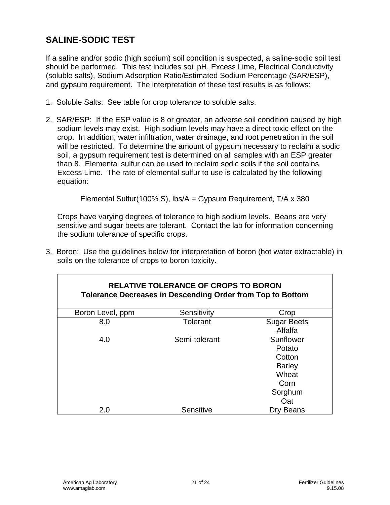# **SALINE-SODIC TEST**

If a saline and/or sodic (high sodium) soil condition is suspected, a saline-sodic soil test should be performed. This test includes soil pH, Excess Lime, Electrical Conductivity (soluble salts), Sodium Adsorption Ratio/Estimated Sodium Percentage (SAR/ESP), and gypsum requirement. The interpretation of these test results is as follows:

- 1. Soluble Salts: See table for crop tolerance to soluble salts.
- 2. SAR/ESP: If the ESP value is 8 or greater, an adverse soil condition caused by high sodium levels may exist. High sodium levels may have a direct toxic effect on the crop. In addition, water infiltration, water drainage, and root penetration in the soil will be restricted. To determine the amount of gypsum necessary to reclaim a sodic soil, a gypsum requirement test is determined on all samples with an ESP greater than 8. Elemental sulfur can be used to reclaim sodic soils if the soil contains Excess Lime. The rate of elemental sulfur to use is calculated by the following equation:

Elemental Sulfur(100% S), lbs/A = Gypsum Requirement, T/A x 380

Crops have varying degrees of tolerance to high sodium levels. Beans are very sensitive and sugar beets are tolerant. Contact the lab for information concerning the sodium tolerance of specific crops.

3. Boron: Use the guidelines below for interpretation of boron (hot water extractable) in soils on the tolerance of crops to boron toxicity.

| <b>RELATIVE TOLERANCE OF CROPS TO BORON</b><br><b>Tolerance Decreases in Descending Order from Top to Bottom</b> |               |                                                                                   |  |
|------------------------------------------------------------------------------------------------------------------|---------------|-----------------------------------------------------------------------------------|--|
| Boron Level, ppm                                                                                                 | Sensitivity   | Crop                                                                              |  |
| 8.0                                                                                                              | Tolerant      | <b>Sugar Beets</b><br>Alfalfa                                                     |  |
| 4.0                                                                                                              | Semi-tolerant | Sunflower<br>Potato<br>Cotton<br><b>Barley</b><br>Wheat<br>Corn<br>Sorghum<br>Oat |  |
| 2.0                                                                                                              | Sensitive     | Dry Beans                                                                         |  |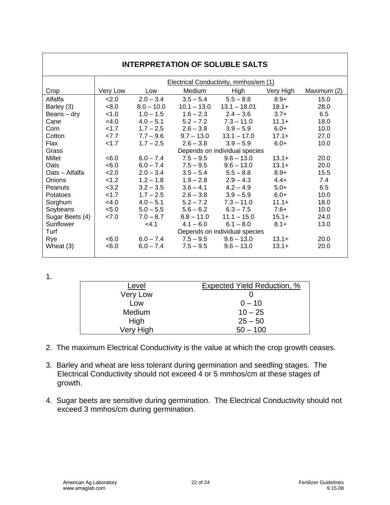| <b>INTERPRETATION OF SOLUBLE SALTS</b> |          |              |               |                                       |           |             |
|----------------------------------------|----------|--------------|---------------|---------------------------------------|-----------|-------------|
|                                        |          |              |               | Electrical Conductivity, mmhos/em (1) |           |             |
| Crop                                   | Very Low | Low          | Medium        | <b>High</b>                           | Very High | Maximum (2) |
| Alfalfa                                | 2.0      | $2.0 - 3.4$  | $3.5 - 5.4$   | $5.5 - 8.8$                           | $8.9+$    | 15.0        |
| Barley (3)                             | < 8.0    | $8.0 - 10.0$ | $10.1 - 13.0$ | $13.1 - 18.01$                        | $18.1+$   | 28.0        |
| Beans $-$ dry                          | < 1.0    | $1.0 - 1.5$  | $1.6 - 2.3$   | $2.4 - 3.6$                           | $3.7+$    | 6.5         |
| Cane                                   | <4.0     | $4.0 - 5.1$  | $5.2 - 7.2$   | $7.3 - 11.0$                          | $11.1+$   | 18.0        |
| Corn                                   | < 1.7    | $1.7 - 2.5$  | $2.6 - 3.8$   | $3.9 - 5.9$                           | $6.0+$    | 10.0        |
| Cotton                                 | 27.7     | $7.7 - 9.6$  | $9.7 - 13.0$  | $13.1 - 17.0$                         | $17.1+$   | 27.0        |
| Flax                                   | 1.7      | $1.7 - 2.5$  | $2.6 - 3.8$   | $3.9 - 5.9$                           | $6.0+$    | 10.0        |
| Grass                                  |          |              |               | Depends on individual species         |           |             |
| Millet                                 | < 6.0    | $6.0 - 7.4$  | $7.5 - 9.5$   | $9.6 - 13.0$                          | $13.1+$   | 20.0        |
| Oats                                   | <6.0     | $6.0 - 7.4$  | $7.5 - 9.5$   | $9.6 - 13.0$                          | $13.1+$   | 20.0        |
| Oats - Alfalfa                         | 2.0      | $2.0 - 3.4$  | $3.5 - 5.4$   | $5.5 - 8.8$                           | $8.9+$    | 15.5        |
| Onions                                 | < 1.2    | $1.2 - 1.8$  | $1.9 - 2.8$   | $2.9 - 4.3$                           | $4.4+$    | 7.4         |
| Peanuts                                | < 3.2    | $3.2 - 3.5$  | $3.6 - 4.1$   | $4.2 - 4.9$                           | $5.0+$    | 6.5         |
| Potatoes                               | 1.7      | $1.7 - 2.5$  | $2.6 - 3.8$   | $3.9 - 5.9$                           | $6.0+$    | 10.0        |
| Sorghum                                | < 4.0    | $4.0 - 5.1$  | $5.2 - 7.2$   | $7.3 - 11.0$                          | $11.1+$   | 18.0        |
| Soybeans                               | < 5.0    | $5.0 - 5.5$  | $5.6 - 6.2$   | $6.3 - 7.5$                           | $7.6+$    | 10.0        |
| Sugar Beets (4)                        | 27.0     | $7.0 - 8.7$  | $8.8 - 11.0$  | $11.1 - 15.0$                         | $15.1+$   | 24.0        |
| Sunflower                              |          | $<$ 4.1      | $4.1 - 6.0$   | $6.1 - 8.0$                           | $8.1 +$   | 13.0        |
| Turf                                   |          |              |               | Depends on individual species         |           |             |
| Rye                                    | < 6.0    | $6.0 - 7.4$  | $7.5 - 9.5$   | $9.6 - 13.0$                          | $13.1+$   | 20.0        |
| Wheat (3)                              | < 6.0    | $6.0 - 7.4$  | $7.5 - 9.5$   | $9.6 - 13.0$                          | $13.1+$   | 20.0        |

1.

| Level     | Expected Yield Reduction, % |
|-----------|-----------------------------|
| Very Low  |                             |
| Low       | $0 - 10$                    |
| Medium    | $10 - 25$                   |
| High      | $25 - 50$                   |
| Very High | $50 - 100$                  |

- 2. The maximum Electrical Conductivity is the value at which the crop growth ceases.
- 3. Barley and wheat are less tolerant during germination and seedling stages. The Electrical Conductivity should not exceed 4 or 5 mmhos/cm at these stages of growth.
- 4. Sugar beets are sensitive during germination. The Electrical Conductivity should not exceed 3 mmhos/cm during germination.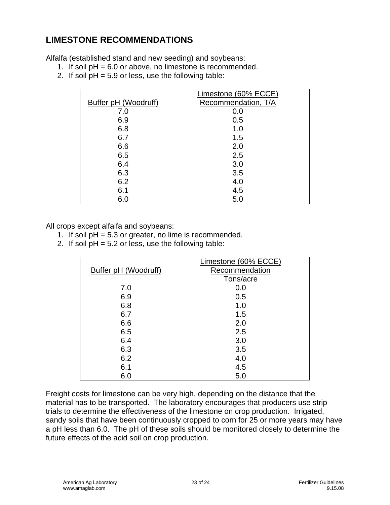# **LIMESTONE RECOMMENDATIONS**

Alfalfa (established stand and new seeding) and soybeans:

- 1. If soil pH = 6.0 or above, no limestone is recommended.
- 2. If soil  $pH = 5.9$  or less, use the following table:

|                      | Limestone (60% ECCE) |
|----------------------|----------------------|
| Buffer pH (Woodruff) | Recommendation, T/A  |
| 7.0                  | 0.0                  |
| 6.9                  | 0.5                  |
| 6.8                  | 1.0                  |
| 6.7                  | 1.5                  |
| 6.6                  | 2.0                  |
| 6.5                  | 2.5                  |
| 6.4                  | 3.0                  |
| 6.3                  | 3.5                  |
| 6.2                  | 4.0                  |
| 6.1                  | 4.5                  |
| 6.0                  | 5.0                  |

All crops except alfalfa and soybeans:

- 1. If soil  $pH = 5.3$  or greater, no lime is recommended.
- 2. If soil  $pH = 5.2$  or less, use the following table:

|                      | Limestone (60% ECCE) |
|----------------------|----------------------|
| Buffer pH (Woodruff) | Recommendation       |
|                      | Tons/acre            |
| 7.0                  | 0.0                  |
| 6.9                  | 0.5                  |
| 6.8                  | 1.0                  |
| 6.7                  | 1.5                  |
| 6.6                  | 2.0                  |
| 6.5                  | 2.5                  |
| 6.4                  | 3.0                  |
| 6.3                  | 3.5                  |
| 6.2                  | 4.0                  |
| 6.1                  | 4.5                  |
| 6.0                  | 5.0                  |

Freight costs for limestone can be very high, depending on the distance that the material has to be transported. The laboratory encourages that producers use strip trials to determine the effectiveness of the limestone on crop production. Irrigated, sandy soils that have been continuously cropped to corn for 25 or more years may have a pH less than 6.0. The pH of these soils should be monitored closely to determine the future effects of the acid soil on crop production.